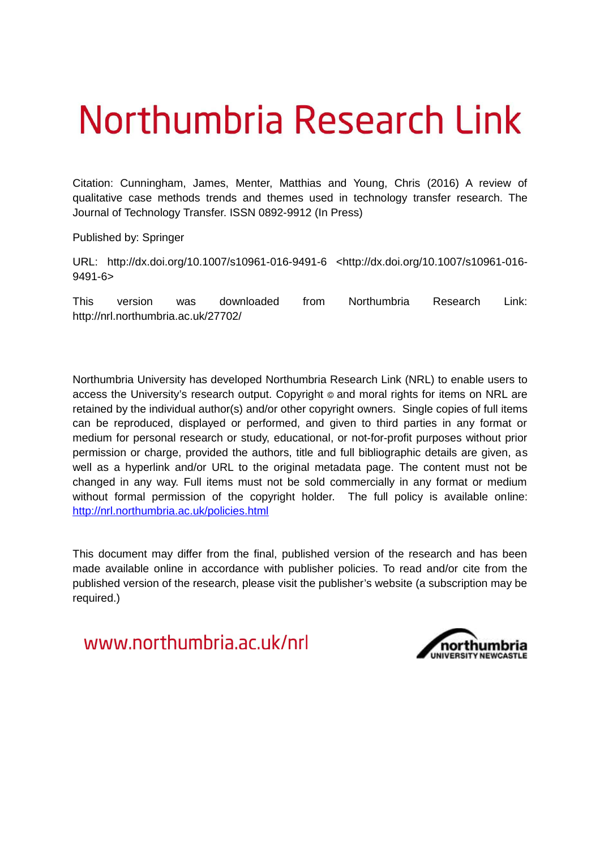# Northumbria Research Link

Citation: Cunningham, James, Menter, Matthias and Young, Chris (2016) A review of qualitative case methods trends and themes used in technology transfer research. The Journal of Technology Transfer. ISSN 0892-9912 (In Press)

Published by: Springer

URL: http://dx.doi.org/10.1007/s10961-016-9491-6 <http://dx.doi.org/10.1007/s10961-016- 9491-6>

This version was downloaded from Northumbria Research Link: http://nrl.northumbria.ac.uk/27702/

Northumbria University has developed Northumbria Research Link (NRL) to enable users to access the University's research output. Copyright  $\circ$  and moral rights for items on NRL are retained by the individual author(s) and/or other copyright owners. Single copies of full items can be reproduced, displayed or performed, and given to third parties in any format or medium for personal research or study, educational, or not-for-profit purposes without prior permission or charge, provided the authors, title and full bibliographic details are given, as well as a hyperlink and/or URL to the original metadata page. The content must not be changed in any way. Full items must not be sold commercially in any format or medium without formal permission of the copyright holder. The full policy is available online: <http://nrl.northumbria.ac.uk/policies.html>

This document may differ from the final, published version of the research and has been made available online in accordance with publisher policies. To read and/or cite from the published version of the research, please visit the publisher's website (a subscription may be required.)

www.northumbria.ac.uk/nrl

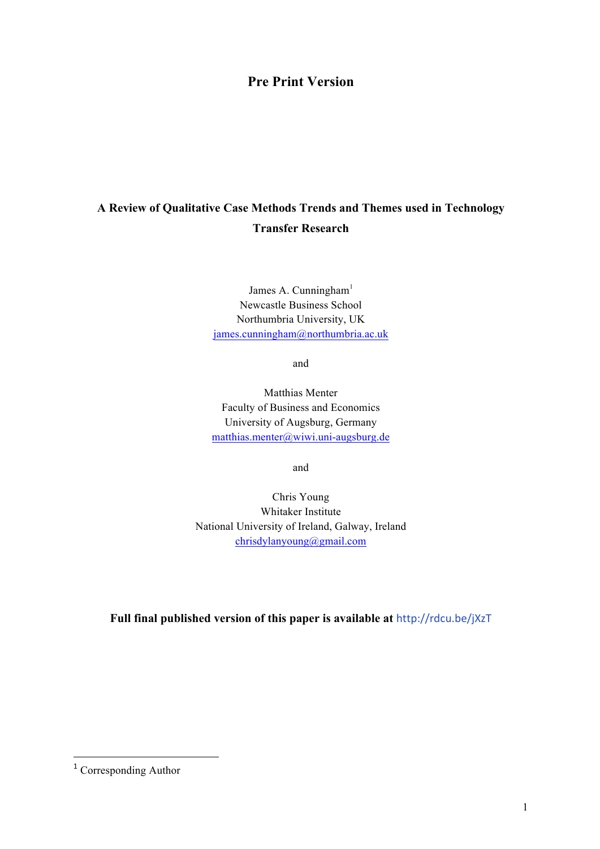# **Pre Print Version**

# **A Review of Qualitative Case Methods Trends and Themes used in Technology Transfer Research**

James A. Cunningham<sup>1</sup> Newcastle Business School Northumbria University, UK james.cunningham@northumbria.ac.uk

and

Matthias Menter Faculty of Business and Economics University of Augsburg, Germany matthias.menter@wiwi.uni-augsburg.de

and

Chris Young Whitaker Institute National University of Ireland, Galway, Ireland chrisdylanyoung@gmail.com

**Full final published version of this paper is available at** http://rdcu.be/jXzT

 

<sup>&</sup>lt;sup>1</sup> Corresponding Author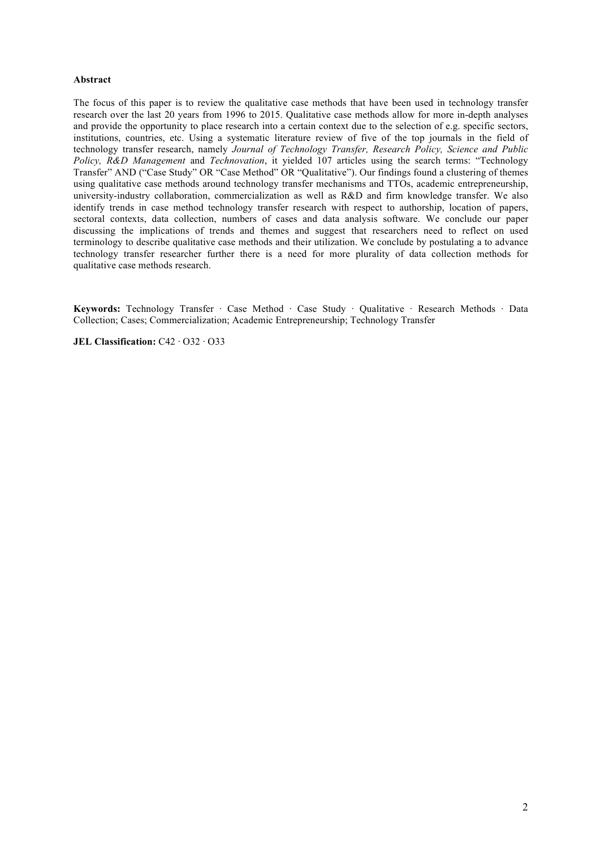#### **Abstract**

The focus of this paper is to review the qualitative case methods that have been used in technology transfer research over the last 20 years from 1996 to 2015. Qualitative case methods allow for more in-depth analyses and provide the opportunity to place research into a certain context due to the selection of e.g. specific sectors, institutions, countries, etc. Using a systematic literature review of five of the top journals in the field of technology transfer research, namely *Journal of Technology Transfer, Research Policy, Science and Public Policy, R&D Management* and *Technovation*, it yielded 107 articles using the search terms: "Technology Transfer" AND ("Case Study" OR "Case Method" OR "Qualitative"). Our findings found a clustering of themes using qualitative case methods around technology transfer mechanisms and TTOs, academic entrepreneurship. university-industry collaboration, commercialization as well as R&D and firm knowledge transfer. We also identify trends in case method technology transfer research with respect to authorship, location of papers, sectoral contexts, data collection, numbers of cases and data analysis software. We conclude our paper discussing the implications of trends and themes and suggest that researchers need to reflect on used terminology to describe qualitative case methods and their utilization. We conclude by postulating a to advance technology transfer researcher further there is a need for more plurality of data collection methods for qualitative case methods research.

**Keywords:** Technology Transfer · Case Method · Case Study · Qualitative · Research Methods · Data Collection; Cases; Commercialization; Academic Entrepreneurship; Technology Transfer

**JEL Classification:** C42 · O32 · O33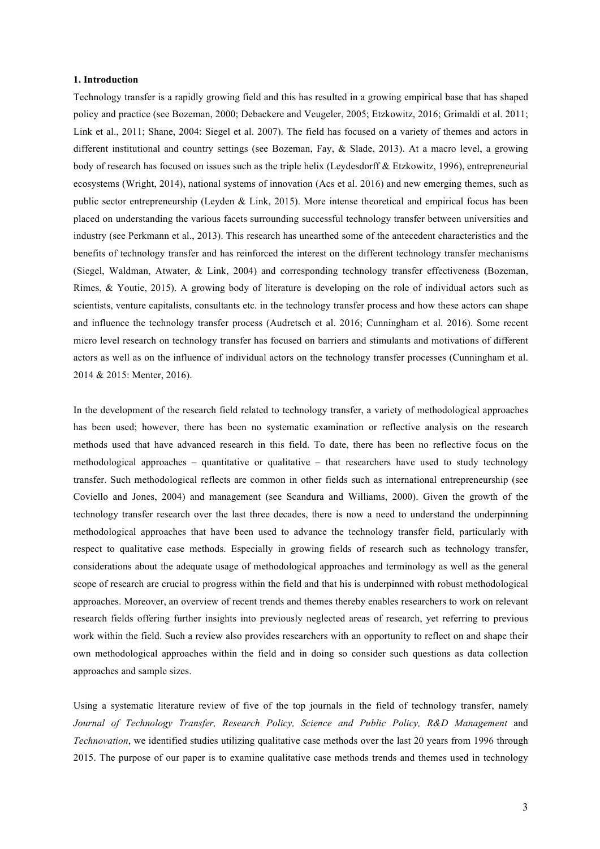#### **1. Introduction**

Technology transfer is a rapidly growing field and this has resulted in a growing empirical base that has shaped policy and practice (see Bozeman, 2000; Debackere and Veugeler, 2005; Etzkowitz, 2016; Grimaldi et al. 2011; Link et al., 2011; Shane, 2004: Siegel et al. 2007). The field has focused on a variety of themes and actors in different institutional and country settings (see Bozeman, Fay, & Slade, 2013). At a macro level, a growing body of research has focused on issues such as the triple helix (Leydesdorff & Etzkowitz, 1996), entrepreneurial ecosystems (Wright, 2014), national systems of innovation (Acs et al. 2016) and new emerging themes, such as public sector entrepreneurship (Leyden & Link, 2015). More intense theoretical and empirical focus has been placed on understanding the various facets surrounding successful technology transfer between universities and industry (see Perkmann et al., 2013). This research has unearthed some of the antecedent characteristics and the benefits of technology transfer and has reinforced the interest on the different technology transfer mechanisms (Siegel, Waldman, Atwater, & Link, 2004) and corresponding technology transfer effectiveness (Bozeman, Rimes, & Youtie, 2015). A growing body of literature is developing on the role of individual actors such as scientists, venture capitalists, consultants etc. in the technology transfer process and how these actors can shape and influence the technology transfer process (Audretsch et al. 2016; Cunningham et al. 2016). Some recent micro level research on technology transfer has focused on barriers and stimulants and motivations of different actors as well as on the influence of individual actors on the technology transfer processes (Cunningham et al. 2014 & 2015: Menter, 2016).

In the development of the research field related to technology transfer, a variety of methodological approaches has been used; however, there has been no systematic examination or reflective analysis on the research methods used that have advanced research in this field. To date, there has been no reflective focus on the methodological approaches – quantitative or qualitative – that researchers have used to study technology transfer. Such methodological reflects are common in other fields such as international entrepreneurship (see Coviello and Jones, 2004) and management (see Scandura and Williams, 2000). Given the growth of the technology transfer research over the last three decades, there is now a need to understand the underpinning methodological approaches that have been used to advance the technology transfer field, particularly with respect to qualitative case methods. Especially in growing fields of research such as technology transfer, considerations about the adequate usage of methodological approaches and terminology as well as the general scope of research are crucial to progress within the field and that his is underpinned with robust methodological approaches. Moreover, an overview of recent trends and themes thereby enables researchers to work on relevant research fields offering further insights into previously neglected areas of research, yet referring to previous work within the field. Such a review also provides researchers with an opportunity to reflect on and shape their own methodological approaches within the field and in doing so consider such questions as data collection approaches and sample sizes.

Using a systematic literature review of five of the top journals in the field of technology transfer, namely Journal of Technology Transfer, Research Policy, Science and Public Policy, R&D Management and *Technovation*, we identified studies utilizing qualitative case methods over the last 20 years from 1996 through 2015. The purpose of our paper is to examine qualitative case methods trends and themes used in technology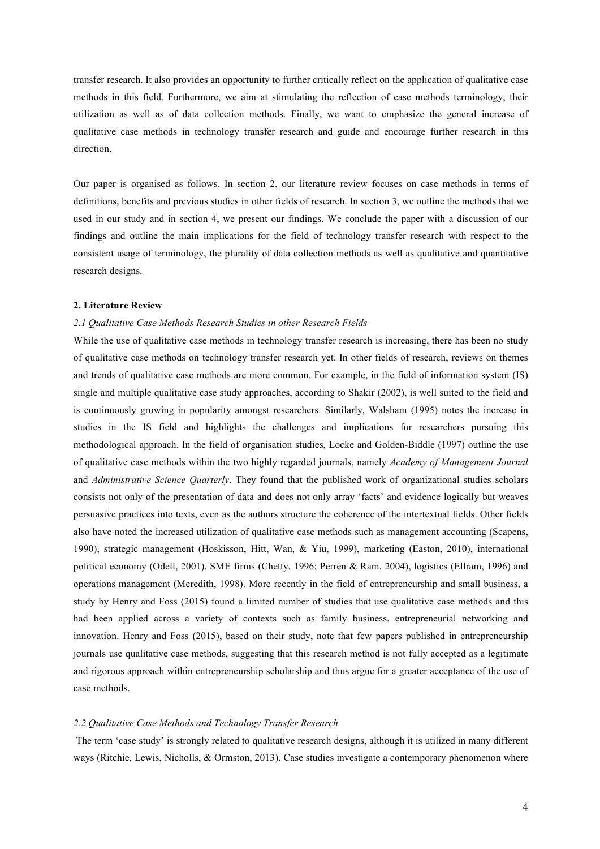transfer research. It also provides an opportunity to further critically reflect on the application of qualitative case methods in this field. Furthermore, we aim at stimulating the reflection of case methods terminology, their utilization as well as of data collection methods. Finally, we want to emphasize the general increase of qualitative case methods in technology transfer research and guide and encourage further research in this direction.

Our paper is organised as follows. In section 2, our literature review focuses on case methods in terms of definitions, benefits and previous studies in other fields of research. In section 3, we outline the methods that we used in our study and in section 4, we present our findings. We conclude the paper with a discussion of our findings and outline the main implications for the field of technology transfer research with respect to the consistent usage of terminology, the plurality of data collection methods as well as qualitative and quantitative research designs.

#### **2. Literature Review**

#### *2.1 Qualitative Case Methods Research Studies in other Research Fields*

While the use of qualitative case methods in technology transfer research is increasing, there has been no study of qualitative case methods on technology transfer research yet. In other fields of research, reviews on themes and trends of qualitative case methods are more common. For example, in the field of information system (IS) single and multiple qualitative case study approaches, according to Shakir (2002), is well suited to the field and is continuously growing in popularity amongst researchers. Similarly, Walsham (1995) notes the increase in studies in the IS field and highlights the challenges and implications for researchers pursuing this methodological approach. In the field of organisation studies, Locke and Golden-Biddle (1997) outline the use of qualitative case methods within the two highly regarded journals, namely *Academy of Management Journal*  and *Administrative Science Quarterly*. They found that the published work of organizational studies scholars consists not only of the presentation of data and does not only array 'facts' and evidence logically but weaves persuasive practices into texts, even as the authors structure the coherence of the intertextual fields. Other fields also have noted the increased utilization of qualitative case methods such as management accounting (Scapens, 1990), strategic management (Hoskisson, Hitt, Wan, & Yiu, 1999), marketing (Easton, 2010), international political economy (Odell, 2001), SME firms (Chetty, 1996; Perren & Ram, 2004), logistics (Ellram, 1996) and operations management (Meredith, 1998). More recently in the field of entrepreneurship and small business, a study by Henry and Foss (2015) found a limited number of studies that use qualitative case methods and this had been applied across a variety of contexts such as family business, entrepreneurial networking and innovation. Henry and Foss (2015), based on their study, note that few papers published in entrepreneurship journals use qualitative case methods, suggesting that this research method is not fully accepted as a legitimate and rigorous approach within entrepreneurship scholarship and thus argue for a greater acceptance of the use of case methods.

#### *2.2 Qualitative Case Methods and Technology Transfer Research*

The term 'case study' is strongly related to qualitative research designs, although it is utilized in many different ways (Ritchie, Lewis, Nicholls, & Ormston, 2013). Case studies investigate a contemporary phenomenon where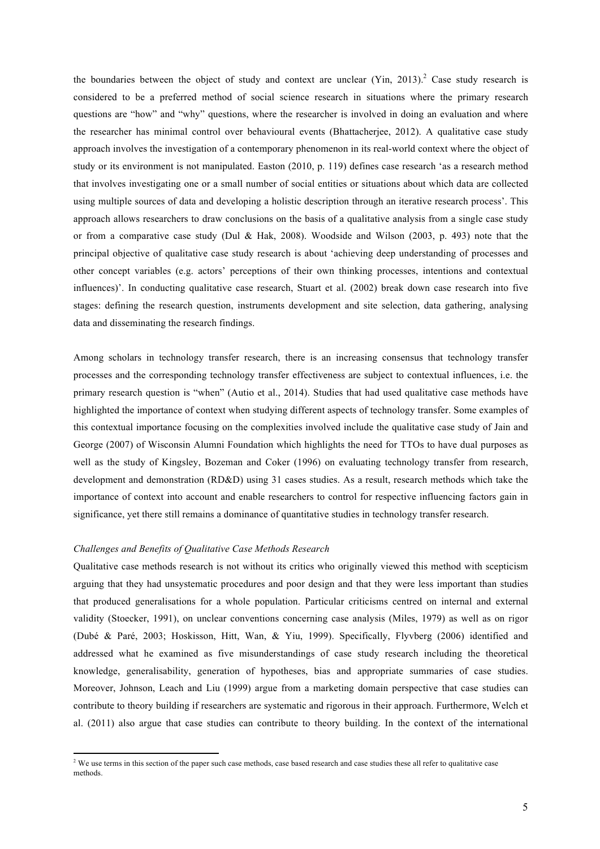the boundaries between the object of study and context are unclear (Yin, 2013).<sup>2</sup> Case study research is considered to be a preferred method of social science research in situations where the primary research questions are "how" and "why" questions, where the researcher is involved in doing an evaluation and where the researcher has minimal control over behavioural events (Bhattacherjee, 2012). A qualitative case study approach involves the investigation of a contemporary phenomenon in its real-world context where the object of study or its environment is not manipulated. Easton (2010, p. 119) defines case research 'as a research method that involves investigating one or a small number of social entities or situations about which data are collected using multiple sources of data and developing a holistic description through an iterative research process'. This approach allows researchers to draw conclusions on the basis of a qualitative analysis from a single case study or from a comparative case study (Dul & Hak, 2008). Woodside and Wilson (2003, p. 493) note that the principal objective of qualitative case study research is about 'achieving deep understanding of processes and other concept variables (e.g. actors' perceptions of their own thinking processes, intentions and contextual influences)'. In conducting qualitative case research, Stuart et al. (2002) break down case research into five stages: defining the research question, instruments development and site selection, data gathering, analysing data and disseminating the research findings.

Among scholars in technology transfer research, there is an increasing consensus that technology transfer processes and the corresponding technology transfer effectiveness are subject to contextual influences, i.e. the primary research question is "when" (Autio et al., 2014). Studies that had used qualitative case methods have highlighted the importance of context when studying different aspects of technology transfer. Some examples of this contextual importance focusing on the complexities involved include the qualitative case study of Jain and George (2007) of Wisconsin Alumni Foundation which highlights the need for TTOs to have dual purposes as well as the study of Kingsley, Bozeman and Coker (1996) on evaluating technology transfer from research, development and demonstration (RD&D) using 31 cases studies. As a result, research methods which take the importance of context into account and enable researchers to control for respective influencing factors gain in significance, yet there still remains a dominance of quantitative studies in technology transfer research.

## *Challenges and Benefits of Qualitative Case Methods Research*

 

Qualitative case methods research is not without its critics who originally viewed this method with scepticism arguing that they had unsystematic procedures and poor design and that they were less important than studies that produced generalisations for a whole population. Particular criticisms centred on internal and external validity (Stoecker, 1991), on unclear conventions concerning case analysis (Miles, 1979) as well as on rigor (Dubé & Paré, 2003; Hoskisson, Hitt, Wan, & Yiu, 1999). Specifically, Flyvberg (2006) identified and addressed what he examined as five misunderstandings of case study research including the theoretical knowledge, generalisability, generation of hypotheses, bias and appropriate summaries of case studies. Moreover, Johnson, Leach and Liu (1999) argue from a marketing domain perspective that case studies can contribute to theory building if researchers are systematic and rigorous in their approach. Furthermore, Welch et al. (2011) also argue that case studies can contribute to theory building. In the context of the international

<sup>&</sup>lt;sup>2</sup> We use terms in this section of the paper such case methods, case based research and case studies these all refer to qualitative case methods.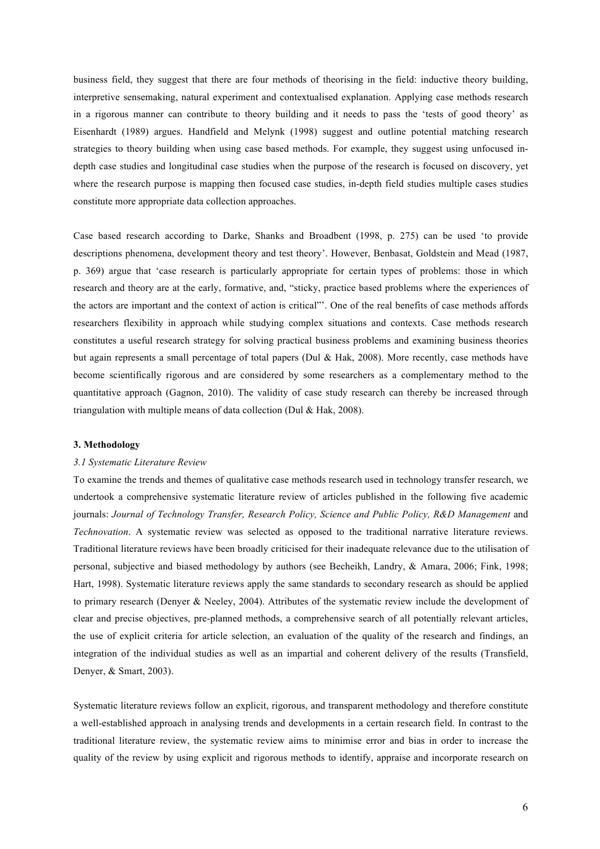business field, they suggest that there are four methods of theorising in the field: inductive theory building, interpretive sensemaking, natural experiment and contextualised explanation. Applying case methods research in a rigorous manner can contribute to theory building and it needs to pass the 'tests of good theory' as Eisenhardt (1989) argues. Handfield and Melynk (1998) suggest and outline potential matching research strategies to theory building when using case based methods. For example, they suggest using unfocused indepth case studies and longitudinal case studies when the purpose of the research is focused on discovery, yet where the research purpose is mapping then focused case studies, in-depth field studies multiple cases studies constitute more appropriate data collection approaches.

Case based research according to Darke, Shanks and Broadbent (1998, p. 275) can be used 'to provide descriptions phenomena, development theory and test theory'. However, Benbasat, Goldstein and Mead (1987, p. 369) argue that 'case research is particularly appropriate for certain types of problems: those in which research and theory are at the early, formative, and, "sticky, practice based problems where the experiences of the actors are important and the context of action is critical"'. One of the real benefits of case methods affords researchers flexibility in approach while studying complex situations and contexts. Case methods research constitutes a useful research strategy for solving practical business problems and examining business theories but again represents a small percentage of total papers (Dul & Hak, 2008). More recently, case methods have become scientifically rigorous and are considered by some researchers as a complementary method to the quantitative approach (Gagnon, 2010). The validity of case study research can thereby be increased through triangulation with multiple means of data collection (Dul & Hak, 2008).

#### **3. Methodology**

#### *3.1 Systematic Literature Review*

To examine the trends and themes of qualitative case methods research used in technology transfer research, we undertook a comprehensive systematic literature review of articles published in the following five academic journals: *Journal of Technology Transfer, Research Policy, Science and Public Policy, R&D Management* and *Technovation*. A systematic review was selected as opposed to the traditional narrative literature reviews. Traditional literature reviews have been broadly criticised for their inadequate relevance due to the utilisation of personal, subjective and biased methodology by authors (see Becheikh, Landry, & Amara, 2006; Fink, 1998; Hart, 1998). Systematic literature reviews apply the same standards to secondary research as should be applied to primary research (Denyer & Neeley, 2004). Attributes of the systematic review include the development of clear and precise objectives, pre-planned methods, a comprehensive search of all potentially relevant articles, the use of explicit criteria for article selection, an evaluation of the quality of the research and findings, an integration of the individual studies as well as an impartial and coherent delivery of the results (Transfield, Denyer, & Smart, 2003).

Systematic literature reviews follow an explicit, rigorous, and transparent methodology and therefore constitute a well-established approach in analysing trends and developments in a certain research field. In contrast to the traditional literature review, the systematic review aims to minimise error and bias in order to increase the quality of the review by using explicit and rigorous methods to identify, appraise and incorporate research on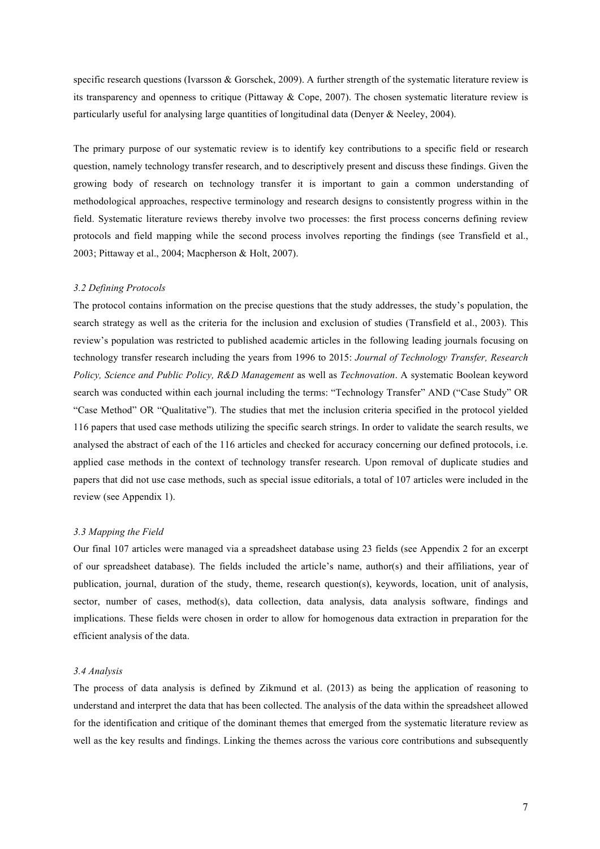specific research questions (Ivarsson & Gorschek, 2009). A further strength of the systematic literature review is its transparency and openness to critique (Pittaway  $\&$  Cope, 2007). The chosen systematic literature review is particularly useful for analysing large quantities of longitudinal data (Denyer & Neeley, 2004).

The primary purpose of our systematic review is to identify key contributions to a specific field or research question, namely technology transfer research, and to descriptively present and discuss these findings. Given the growing body of research on technology transfer it is important to gain a common understanding of methodological approaches, respective terminology and research designs to consistently progress within in the field. Systematic literature reviews thereby involve two processes: the first process concerns defining review protocols and field mapping while the second process involves reporting the findings (see Transfield et al., 2003; Pittaway et al., 2004; Macpherson & Holt, 2007).

#### *3.2 Defining Protocols*

The protocol contains information on the precise questions that the study addresses, the study's population, the search strategy as well as the criteria for the inclusion and exclusion of studies (Transfield et al., 2003). This review's population was restricted to published academic articles in the following leading journals focusing on technology transfer research including the years from 1996 to 2015: *Journal of Technology Transfer, Research Policy, Science and Public Policy, R&D Management* as well as *Technovation*. A systematic Boolean keyword search was conducted within each journal including the terms: "Technology Transfer" AND ("Case Study" OR "Case Method" OR "Qualitative"). The studies that met the inclusion criteria specified in the protocol yielded 116 papers that used case methods utilizing the specific search strings. In order to validate the search results, we analysed the abstract of each of the 116 articles and checked for accuracy concerning our defined protocols, i.e. applied case methods in the context of technology transfer research. Upon removal of duplicate studies and papers that did not use case methods, such as special issue editorials, a total of 107 articles were included in the review (see Appendix 1).

#### *3.3 Mapping the Field*

Our final 107 articles were managed via a spreadsheet database using 23 fields (see Appendix 2 for an excerpt of our spreadsheet database). The fields included the article's name, author(s) and their affiliations, year of publication, journal, duration of the study, theme, research question(s), keywords, location, unit of analysis, sector, number of cases, method(s), data collection, data analysis, data analysis software, findings and implications. These fields were chosen in order to allow for homogenous data extraction in preparation for the efficient analysis of the data.

#### *3.4 Analysis*

The process of data analysis is defined by Zikmund et al. (2013) as being the application of reasoning to understand and interpret the data that has been collected. The analysis of the data within the spreadsheet allowed for the identification and critique of the dominant themes that emerged from the systematic literature review as well as the key results and findings. Linking the themes across the various core contributions and subsequently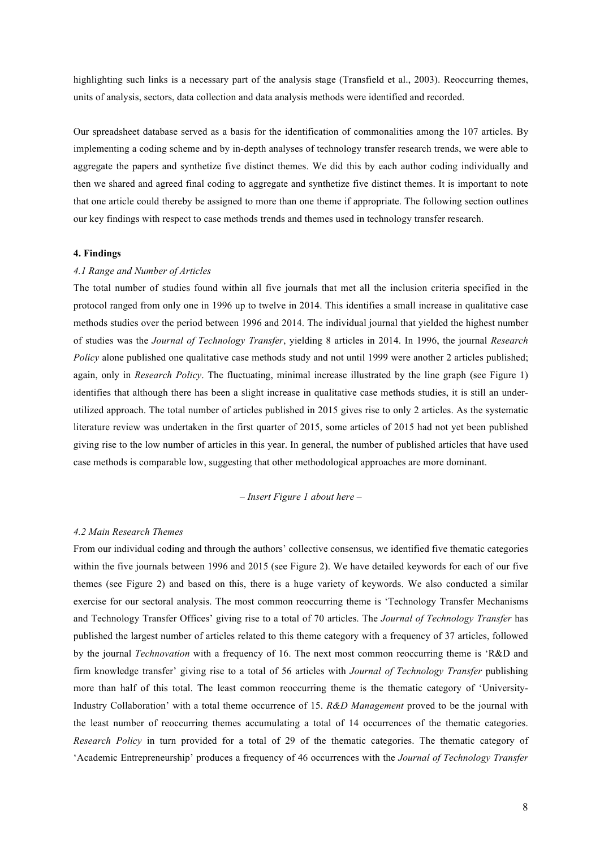highlighting such links is a necessary part of the analysis stage (Transfield et al., 2003). Reoccurring themes, units of analysis, sectors, data collection and data analysis methods were identified and recorded.

Our spreadsheet database served as a basis for the identification of commonalities among the 107 articles. By implementing a coding scheme and by in-depth analyses of technology transfer research trends, we were able to aggregate the papers and synthetize five distinct themes. We did this by each author coding individually and then we shared and agreed final coding to aggregate and synthetize five distinct themes. It is important to note that one article could thereby be assigned to more than one theme if appropriate. The following section outlines our key findings with respect to case methods trends and themes used in technology transfer research.

#### **4. Findings**

#### *4.1 Range and Number of Articles*

The total number of studies found within all five journals that met all the inclusion criteria specified in the protocol ranged from only one in 1996 up to twelve in 2014. This identifies a small increase in qualitative case methods studies over the period between 1996 and 2014. The individual journal that yielded the highest number of studies was the *Journal of Technology Transfer*, yielding 8 articles in 2014. In 1996, the journal *Research Policy* alone published one qualitative case methods study and not until 1999 were another 2 articles published; again, only in *Research Policy*. The fluctuating, minimal increase illustrated by the line graph (see Figure 1) identifies that although there has been a slight increase in qualitative case methods studies, it is still an underutilized approach. The total number of articles published in 2015 gives rise to only 2 articles. As the systematic literature review was undertaken in the first quarter of 2015, some articles of 2015 had not yet been published giving rise to the low number of articles in this year. In general, the number of published articles that have used case methods is comparable low, suggesting that other methodological approaches are more dominant.

*– Insert Figure 1 about here –*

#### *4.2 Main Research Themes*

From our individual coding and through the authors' collective consensus, we identified five thematic categories within the five journals between 1996 and 2015 (see Figure 2). We have detailed keywords for each of our five themes (see Figure 2) and based on this, there is a huge variety of keywords. We also conducted a similar exercise for our sectoral analysis. The most common reoccurring theme is 'Technology Transfer Mechanisms and Technology Transfer Offices' giving rise to a total of 70 articles. The *Journal of Technology Transfer* has published the largest number of articles related to this theme category with a frequency of 37 articles, followed by the journal *Technovation* with a frequency of 16. The next most common reoccurring theme is 'R&D and firm knowledge transfer' giving rise to a total of 56 articles with *Journal of Technology Transfer* publishing more than half of this total. The least common reoccurring theme is the thematic category of 'University-Industry Collaboration' with a total theme occurrence of 15. *R&D Management* proved to be the journal with the least number of reoccurring themes accumulating a total of 14 occurrences of the thematic categories. *Research Policy* in turn provided for a total of 29 of the thematic categories. The thematic category of 'Academic Entrepreneurship' produces a frequency of 46 occurrences with the *Journal of Technology Transfer*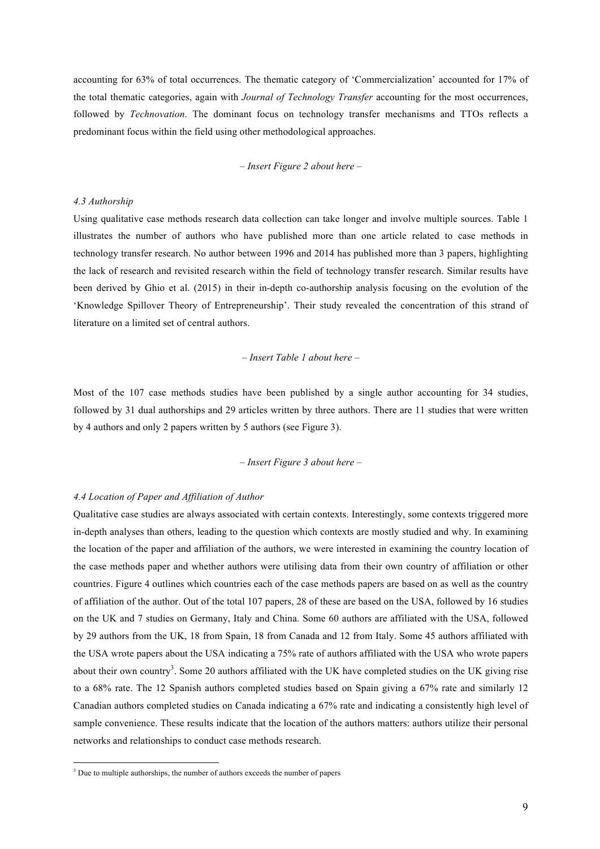accounting for 63% of total occurrences. The thematic category of 'Commercialization' accounted for 17% of the total thematic categories, again with *Journal of Technology Transfer* accounting for the most occurrences, followed by *Technovation*. The dominant focus on technology transfer mechanisms and TTOs reflects a predominant focus within the field using other methodological approaches.

*– Insert Figure 2 about here –*

#### *4.3 Authorship*

Using qualitative case methods research data collection can take longer and involve multiple sources. Table 1 illustrates the number of authors who have published more than one article related to case methods in technology transfer research. No author between 1996 and 2014 has published more than 3 papers, highlighting the lack of research and revisited research within the field of technology transfer research. Similar results have been derived by Ghio et al. (2015) in their in-depth co-authorship analysis focusing on the evolution of the 'Knowledge Spillover Theory of Entrepreneurship'. Their study revealed the concentration of this strand of literature on a limited set of central authors.

#### *– Insert Table 1 about here –*

Most of the 107 case methods studies have been published by a single author accounting for 34 studies, followed by 31 dual authorships and 29 articles written by three authors. There are 11 studies that were written by 4 authors and only 2 papers written by 5 authors (see Figure 3).

#### *– Insert Figure 3 about here –*

## *4.4 Location of Paper and Affiliation of Author*

Qualitative case studies are always associated with certain contexts. Interestingly, some contexts triggered more in-depth analyses than others, leading to the question which contexts are mostly studied and why. In examining the location of the paper and affiliation of the authors, we were interested in examining the country location of the case methods paper and whether authors were utilising data from their own country of affiliation or other countries. Figure 4 outlines which countries each of the case methods papers are based on as well as the country of affiliation of the author. Out of the total 107 papers, 28 of these are based on the USA, followed by 16 studies on the UK and 7 studies on Germany, Italy and China. Some 60 authors are affiliated with the USA, followed by 29 authors from the UK, 18 from Spain, 18 from Canada and 12 from Italy. Some 45 authors affiliated with the USA wrote papers about the USA indicating a 75% rate of authors affiliated with the USA who wrote papers about their own country<sup>3</sup>. Some 20 authors affiliated with the UK have completed studies on the UK giving rise to a 68% rate. The 12 Spanish authors completed studies based on Spain giving a 67% rate and similarly 12 Canadian authors completed studies on Canada indicating a 67% rate and indicating a consistently high level of sample convenience. These results indicate that the location of the authors matters: authors utilize their personal networks and relationships to conduct case methods research.

 

<sup>&</sup>lt;sup>3</sup> Due to multiple authorships, the number of authors exceeds the number of papers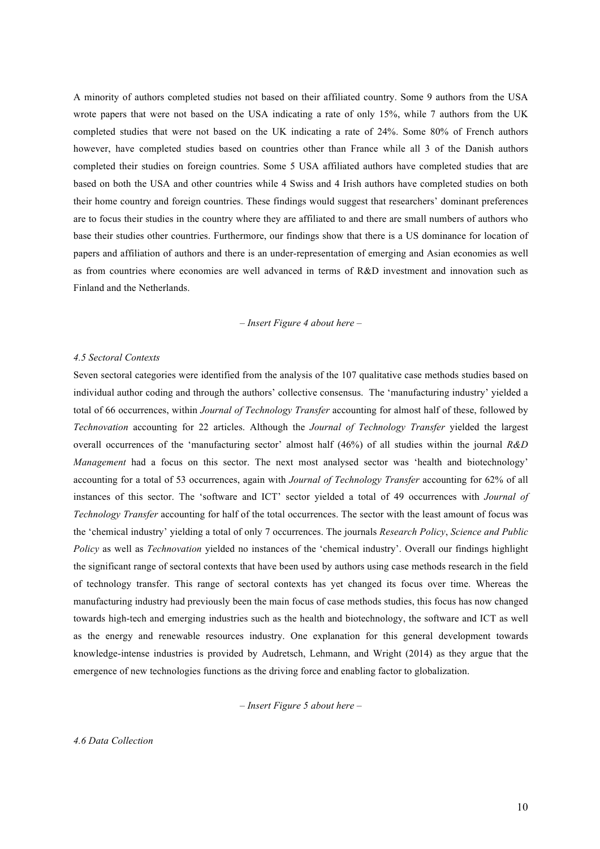A minority of authors completed studies not based on their affiliated country. Some 9 authors from the USA wrote papers that were not based on the USA indicating a rate of only 15%, while 7 authors from the UK completed studies that were not based on the UK indicating a rate of 24%. Some 80% of French authors however, have completed studies based on countries other than France while all 3 of the Danish authors completed their studies on foreign countries. Some 5 USA affiliated authors have completed studies that are based on both the USA and other countries while 4 Swiss and 4 Irish authors have completed studies on both their home country and foreign countries. These findings would suggest that researchers' dominant preferences are to focus their studies in the country where they are affiliated to and there are small numbers of authors who base their studies other countries. Furthermore, our findings show that there is a US dominance for location of papers and affiliation of authors and there is an under-representation of emerging and Asian economies as well as from countries where economies are well advanced in terms of R&D investment and innovation such as Finland and the Netherlands.

#### *– Insert Figure 4 about here –*

#### *4.5 Sectoral Contexts*

Seven sectoral categories were identified from the analysis of the 107 qualitative case methods studies based on individual author coding and through the authors' collective consensus. The 'manufacturing industry' yielded a total of 66 occurrences, within *Journal of Technology Transfer* accounting for almost half of these, followed by *Technovation* accounting for 22 articles. Although the *Journal of Technology Transfer* yielded the largest overall occurrences of the 'manufacturing sector' almost half (46%) of all studies within the journal *R&D Management* had a focus on this sector. The next most analysed sector was 'health and biotechnology' accounting for a total of 53 occurrences, again with *Journal of Technology Transfer* accounting for 62% of all instances of this sector. The 'software and ICT' sector yielded a total of 49 occurrences with *Journal of Technology Transfer* accounting for half of the total occurrences. The sector with the least amount of focus was the 'chemical industry' yielding a total of only 7 occurrences. The journals *Research Policy*, *Science and Public Policy* as well as *Technovation* yielded no instances of the 'chemical industry'. Overall our findings highlight the significant range of sectoral contexts that have been used by authors using case methods research in the field of technology transfer. This range of sectoral contexts has yet changed its focus over time. Whereas the manufacturing industry had previously been the main focus of case methods studies, this focus has now changed towards high-tech and emerging industries such as the health and biotechnology, the software and ICT as well as the energy and renewable resources industry. One explanation for this general development towards knowledge-intense industries is provided by Audretsch, Lehmann, and Wright (2014) as they argue that the emergence of new technologies functions as the driving force and enabling factor to globalization.

*– Insert Figure 5 about here –*

*4.6 Data Collection*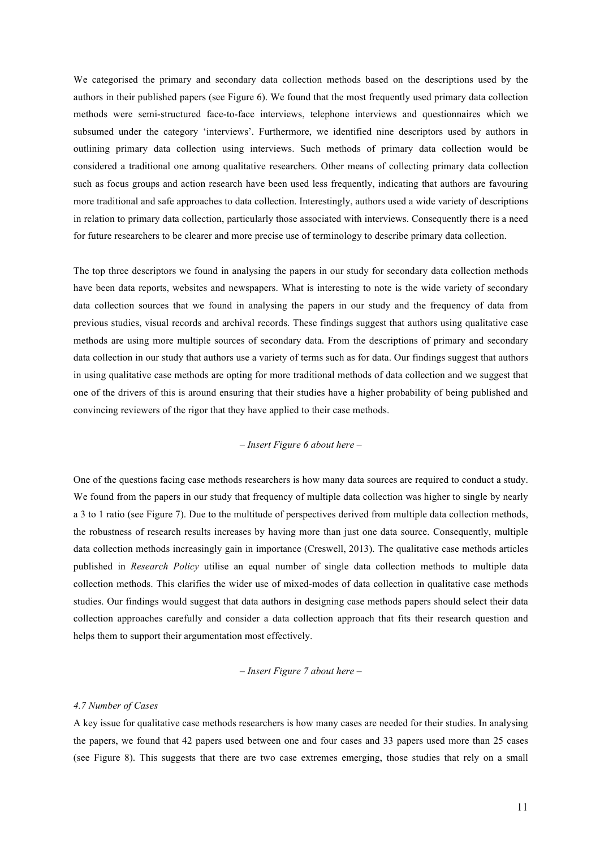We categorised the primary and secondary data collection methods based on the descriptions used by the authors in their published papers (see Figure 6). We found that the most frequently used primary data collection methods were semi-structured face-to-face interviews, telephone interviews and questionnaires which we subsumed under the category 'interviews'. Furthermore, we identified nine descriptors used by authors in outlining primary data collection using interviews. Such methods of primary data collection would be considered a traditional one among qualitative researchers. Other means of collecting primary data collection such as focus groups and action research have been used less frequently, indicating that authors are favouring more traditional and safe approaches to data collection. Interestingly, authors used a wide variety of descriptions in relation to primary data collection, particularly those associated with interviews. Consequently there is a need for future researchers to be clearer and more precise use of terminology to describe primary data collection.

The top three descriptors we found in analysing the papers in our study for secondary data collection methods have been data reports, websites and newspapers. What is interesting to note is the wide variety of secondary data collection sources that we found in analysing the papers in our study and the frequency of data from previous studies, visual records and archival records. These findings suggest that authors using qualitative case methods are using more multiple sources of secondary data. From the descriptions of primary and secondary data collection in our study that authors use a variety of terms such as for data. Our findings suggest that authors in using qualitative case methods are opting for more traditional methods of data collection and we suggest that one of the drivers of this is around ensuring that their studies have a higher probability of being published and convincing reviewers of the rigor that they have applied to their case methods.

#### *– Insert Figure 6 about here –*

One of the questions facing case methods researchers is how many data sources are required to conduct a study. We found from the papers in our study that frequency of multiple data collection was higher to single by nearly a 3 to 1 ratio (see Figure 7). Due to the multitude of perspectives derived from multiple data collection methods, the robustness of research results increases by having more than just one data source. Consequently, multiple data collection methods increasingly gain in importance (Creswell, 2013). The qualitative case methods articles published in *Research Policy* utilise an equal number of single data collection methods to multiple data collection methods. This clarifies the wider use of mixed-modes of data collection in qualitative case methods studies. Our findings would suggest that data authors in designing case methods papers should select their data collection approaches carefully and consider a data collection approach that fits their research question and helps them to support their argumentation most effectively.

#### *– Insert Figure 7 about here –*

#### *4.7 Number of Cases*

A key issue for qualitative case methods researchers is how many cases are needed for their studies. In analysing the papers, we found that 42 papers used between one and four cases and 33 papers used more than 25 cases (see Figure 8). This suggests that there are two case extremes emerging, those studies that rely on a small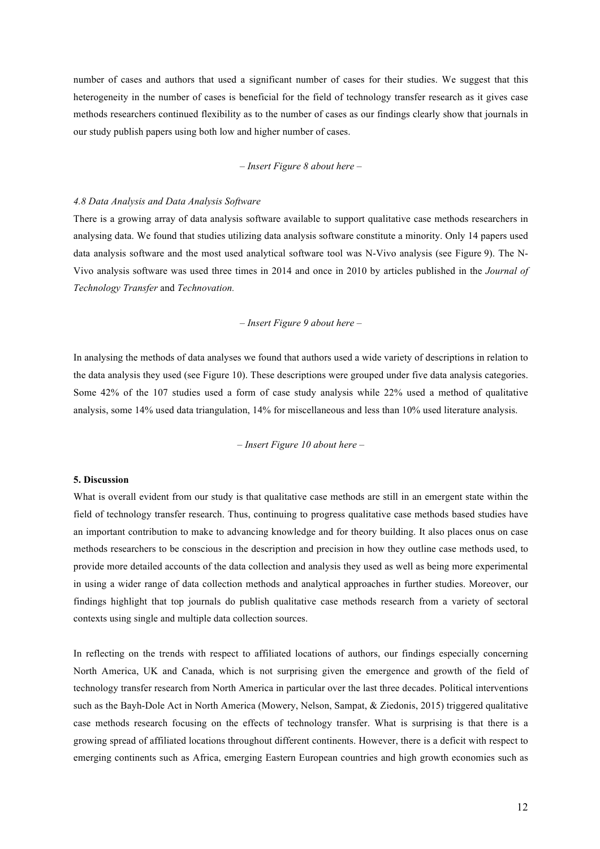number of cases and authors that used a significant number of cases for their studies. We suggest that this heterogeneity in the number of cases is beneficial for the field of technology transfer research as it gives case methods researchers continued flexibility as to the number of cases as our findings clearly show that journals in our study publish papers using both low and higher number of cases.

#### *– Insert Figure 8 about here –*

#### *4.8 Data Analysis and Data Analysis Software*

There is a growing array of data analysis software available to support qualitative case methods researchers in analysing data. We found that studies utilizing data analysis software constitute a minority. Only 14 papers used data analysis software and the most used analytical software tool was N-Vivo analysis (see Figure 9). The N-Vivo analysis software was used three times in 2014 and once in 2010 by articles published in the *Journal of Technology Transfer* and *Technovation.*

### *– Insert Figure 9 about here –*

In analysing the methods of data analyses we found that authors used a wide variety of descriptions in relation to the data analysis they used (see Figure 10). These descriptions were grouped under five data analysis categories. Some 42% of the 107 studies used a form of case study analysis while 22% used a method of qualitative analysis, some 14% used data triangulation, 14% for miscellaneous and less than 10% used literature analysis.

*– Insert Figure 10 about here –*

### **5. Discussion**

What is overall evident from our study is that qualitative case methods are still in an emergent state within the field of technology transfer research. Thus, continuing to progress qualitative case methods based studies have an important contribution to make to advancing knowledge and for theory building. It also places onus on case methods researchers to be conscious in the description and precision in how they outline case methods used, to provide more detailed accounts of the data collection and analysis they used as well as being more experimental in using a wider range of data collection methods and analytical approaches in further studies. Moreover, our findings highlight that top journals do publish qualitative case methods research from a variety of sectoral contexts using single and multiple data collection sources.

In reflecting on the trends with respect to affiliated locations of authors, our findings especially concerning North America, UK and Canada, which is not surprising given the emergence and growth of the field of technology transfer research from North America in particular over the last three decades. Political interventions such as the Bayh-Dole Act in North America (Mowery, Nelson, Sampat, & Ziedonis, 2015) triggered qualitative case methods research focusing on the effects of technology transfer. What is surprising is that there is a growing spread of affiliated locations throughout different continents. However, there is a deficit with respect to emerging continents such as Africa, emerging Eastern European countries and high growth economies such as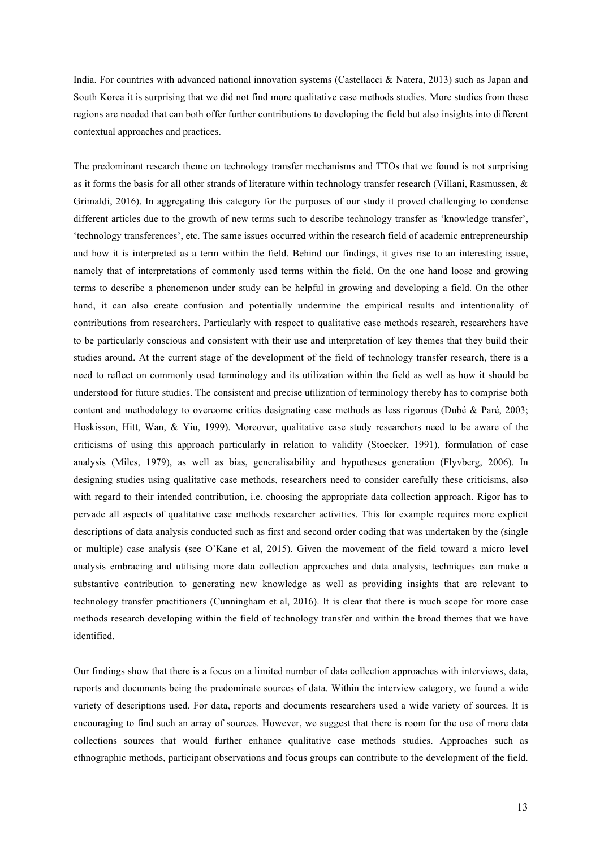India. For countries with advanced national innovation systems (Castellacci & Natera, 2013) such as Japan and South Korea it is surprising that we did not find more qualitative case methods studies. More studies from these regions are needed that can both offer further contributions to developing the field but also insights into different contextual approaches and practices.

The predominant research theme on technology transfer mechanisms and TTOs that we found is not surprising as it forms the basis for all other strands of literature within technology transfer research (Villani, Rasmussen, & Grimaldi, 2016). In aggregating this category for the purposes of our study it proved challenging to condense different articles due to the growth of new terms such to describe technology transfer as 'knowledge transfer', 'technology transferences', etc. The same issues occurred within the research field of academic entrepreneurship and how it is interpreted as a term within the field. Behind our findings, it gives rise to an interesting issue, namely that of interpretations of commonly used terms within the field. On the one hand loose and growing terms to describe a phenomenon under study can be helpful in growing and developing a field. On the other hand, it can also create confusion and potentially undermine the empirical results and intentionality of contributions from researchers. Particularly with respect to qualitative case methods research, researchers have to be particularly conscious and consistent with their use and interpretation of key themes that they build their studies around. At the current stage of the development of the field of technology transfer research, there is a need to reflect on commonly used terminology and its utilization within the field as well as how it should be understood for future studies. The consistent and precise utilization of terminology thereby has to comprise both content and methodology to overcome critics designating case methods as less rigorous (Dubé & Paré, 2003; Hoskisson, Hitt, Wan, & Yiu, 1999). Moreover, qualitative case study researchers need to be aware of the criticisms of using this approach particularly in relation to validity (Stoecker, 1991), formulation of case analysis (Miles, 1979), as well as bias, generalisability and hypotheses generation (Flyvberg, 2006). In designing studies using qualitative case methods, researchers need to consider carefully these criticisms, also with regard to their intended contribution, i.e. choosing the appropriate data collection approach. Rigor has to pervade all aspects of qualitative case methods researcher activities. This for example requires more explicit descriptions of data analysis conducted such as first and second order coding that was undertaken by the (single or multiple) case analysis (see O'Kane et al, 2015). Given the movement of the field toward a micro level analysis embracing and utilising more data collection approaches and data analysis, techniques can make a substantive contribution to generating new knowledge as well as providing insights that are relevant to technology transfer practitioners (Cunningham et al, 2016). It is clear that there is much scope for more case methods research developing within the field of technology transfer and within the broad themes that we have identified.

Our findings show that there is a focus on a limited number of data collection approaches with interviews, data, reports and documents being the predominate sources of data. Within the interview category, we found a wide variety of descriptions used. For data, reports and documents researchers used a wide variety of sources. It is encouraging to find such an array of sources. However, we suggest that there is room for the use of more data collections sources that would further enhance qualitative case methods studies. Approaches such as ethnographic methods, participant observations and focus groups can contribute to the development of the field.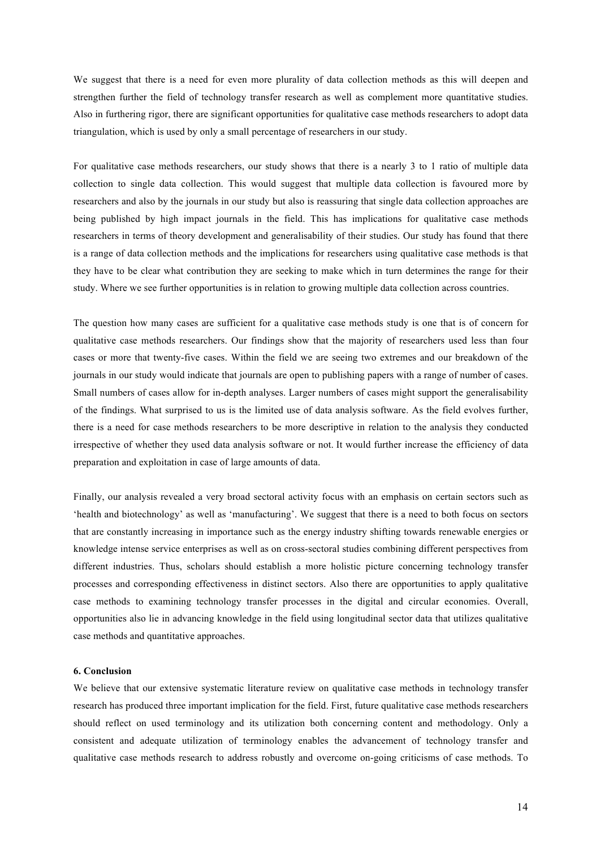We suggest that there is a need for even more plurality of data collection methods as this will deepen and strengthen further the field of technology transfer research as well as complement more quantitative studies. Also in furthering rigor, there are significant opportunities for qualitative case methods researchers to adopt data triangulation, which is used by only a small percentage of researchers in our study.

For qualitative case methods researchers, our study shows that there is a nearly 3 to 1 ratio of multiple data collection to single data collection. This would suggest that multiple data collection is favoured more by researchers and also by the journals in our study but also is reassuring that single data collection approaches are being published by high impact journals in the field. This has implications for qualitative case methods researchers in terms of theory development and generalisability of their studies. Our study has found that there is a range of data collection methods and the implications for researchers using qualitative case methods is that they have to be clear what contribution they are seeking to make which in turn determines the range for their study. Where we see further opportunities is in relation to growing multiple data collection across countries.

The question how many cases are sufficient for a qualitative case methods study is one that is of concern for qualitative case methods researchers. Our findings show that the majority of researchers used less than four cases or more that twenty-five cases. Within the field we are seeing two extremes and our breakdown of the journals in our study would indicate that journals are open to publishing papers with a range of number of cases. Small numbers of cases allow for in-depth analyses. Larger numbers of cases might support the generalisability of the findings. What surprised to us is the limited use of data analysis software. As the field evolves further, there is a need for case methods researchers to be more descriptive in relation to the analysis they conducted irrespective of whether they used data analysis software or not. It would further increase the efficiency of data preparation and exploitation in case of large amounts of data.

Finally, our analysis revealed a very broad sectoral activity focus with an emphasis on certain sectors such as 'health and biotechnology' as well as 'manufacturing'. We suggest that there is a need to both focus on sectors that are constantly increasing in importance such as the energy industry shifting towards renewable energies or knowledge intense service enterprises as well as on cross-sectoral studies combining different perspectives from different industries. Thus, scholars should establish a more holistic picture concerning technology transfer processes and corresponding effectiveness in distinct sectors. Also there are opportunities to apply qualitative case methods to examining technology transfer processes in the digital and circular economies. Overall, opportunities also lie in advancing knowledge in the field using longitudinal sector data that utilizes qualitative case methods and quantitative approaches.

## **6. Conclusion**

We believe that our extensive systematic literature review on qualitative case methods in technology transfer research has produced three important implication for the field. First, future qualitative case methods researchers should reflect on used terminology and its utilization both concerning content and methodology. Only a consistent and adequate utilization of terminology enables the advancement of technology transfer and qualitative case methods research to address robustly and overcome on-going criticisms of case methods. To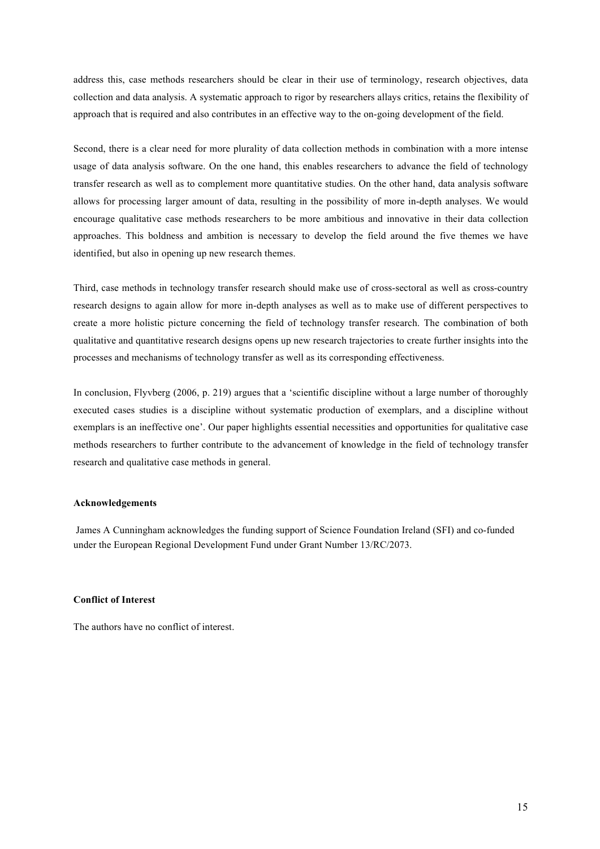address this, case methods researchers should be clear in their use of terminology, research objectives, data collection and data analysis. A systematic approach to rigor by researchers allays critics, retains the flexibility of approach that is required and also contributes in an effective way to the on-going development of the field.

Second, there is a clear need for more plurality of data collection methods in combination with a more intense usage of data analysis software. On the one hand, this enables researchers to advance the field of technology transfer research as well as to complement more quantitative studies. On the other hand, data analysis software allows for processing larger amount of data, resulting in the possibility of more in-depth analyses. We would encourage qualitative case methods researchers to be more ambitious and innovative in their data collection approaches. This boldness and ambition is necessary to develop the field around the five themes we have identified, but also in opening up new research themes.

Third, case methods in technology transfer research should make use of cross-sectoral as well as cross-country research designs to again allow for more in-depth analyses as well as to make use of different perspectives to create a more holistic picture concerning the field of technology transfer research. The combination of both qualitative and quantitative research designs opens up new research trajectories to create further insights into the processes and mechanisms of technology transfer as well as its corresponding effectiveness.

In conclusion, Flyvberg (2006, p. 219) argues that a 'scientific discipline without a large number of thoroughly executed cases studies is a discipline without systematic production of exemplars, and a discipline without exemplars is an ineffective one'. Our paper highlights essential necessities and opportunities for qualitative case methods researchers to further contribute to the advancement of knowledge in the field of technology transfer research and qualitative case methods in general.

#### **Acknowledgements**

James A Cunningham acknowledges the funding support of Science Foundation Ireland (SFI) and co-funded under the European Regional Development Fund under Grant Number 13/RC/2073.

#### **Conflict of Interest**

The authors have no conflict of interest.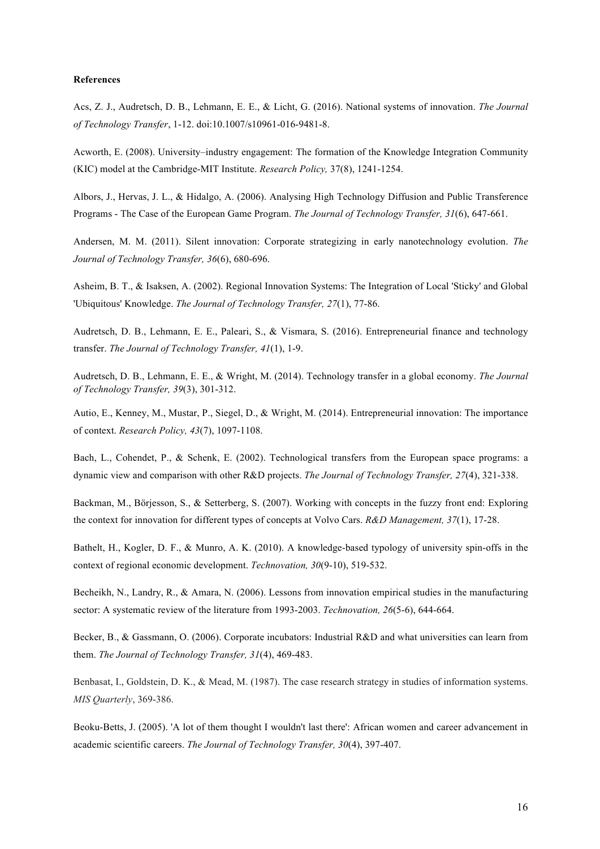#### **References**

Acs, Z. J., Audretsch, D. B., Lehmann, E. E., & Licht, G. (2016). National systems of innovation. *The Journal of Technology Transfer*, 1-12. doi:10.1007/s10961-016-9481-8.

Acworth, E. (2008). University–industry engagement: The formation of the Knowledge Integration Community (KIC) model at the Cambridge-MIT Institute. *Research Policy,* 37(8), 1241-1254.

Albors, J., Hervas, J. L., & Hidalgo, A. (2006). Analysing High Technology Diffusion and Public Transference Programs - The Case of the European Game Program. *The Journal of Technology Transfer, 31*(6), 647-661.

Andersen, M. M. (2011). Silent innovation: Corporate strategizing in early nanotechnology evolution. *The Journal of Technology Transfer, 36*(6), 680-696.

Asheim, B. T., & Isaksen, A. (2002). Regional Innovation Systems: The Integration of Local 'Sticky' and Global 'Ubiquitous' Knowledge. *The Journal of Technology Transfer, 27*(1), 77-86.

Audretsch, D. B., Lehmann, E. E., Paleari, S., & Vismara, S. (2016). Entrepreneurial finance and technology transfer. *The Journal of Technology Transfer, 41*(1), 1-9.

Audretsch, D. B., Lehmann, E. E., & Wright, M. (2014). Technology transfer in a global economy. *The Journal of Technology Transfer, 39*(3), 301-312.

Autio, E., Kenney, M., Mustar, P., Siegel, D., & Wright, M. (2014). Entrepreneurial innovation: The importance of context. *Research Policy, 43*(7), 1097-1108.

Bach, L., Cohendet, P., & Schenk, E. (2002). Technological transfers from the European space programs: a dynamic view and comparison with other R&D projects. *The Journal of Technology Transfer, 27*(4), 321-338.

Backman, M., Börjesson, S., & Setterberg, S. (2007). Working with concepts in the fuzzy front end: Exploring the context for innovation for different types of concepts at Volvo Cars. *R&D Management, 37*(1), 17-28.

Bathelt, H., Kogler, D. F., & Munro, A. K. (2010). A knowledge-based typology of university spin-offs in the context of regional economic development. *Technovation, 30*(9-10), 519-532.

Becheikh, N., Landry, R., & Amara, N. (2006). Lessons from innovation empirical studies in the manufacturing sector: A systematic review of the literature from 1993-2003. *Technovation, 26*(5-6), 644-664.

Becker, B., & Gassmann, O. (2006). Corporate incubators: Industrial R&D and what universities can learn from them. *The Journal of Technology Transfer, 31*(4), 469-483.

Benbasat, I., Goldstein, D. K., & Mead, M. (1987). The case research strategy in studies of information systems. *MIS Quarterly*, 369-386.

Beoku-Betts, J. (2005). 'A lot of them thought I wouldn't last there': African women and career advancement in academic scientific careers. *The Journal of Technology Transfer, 30*(4), 397-407.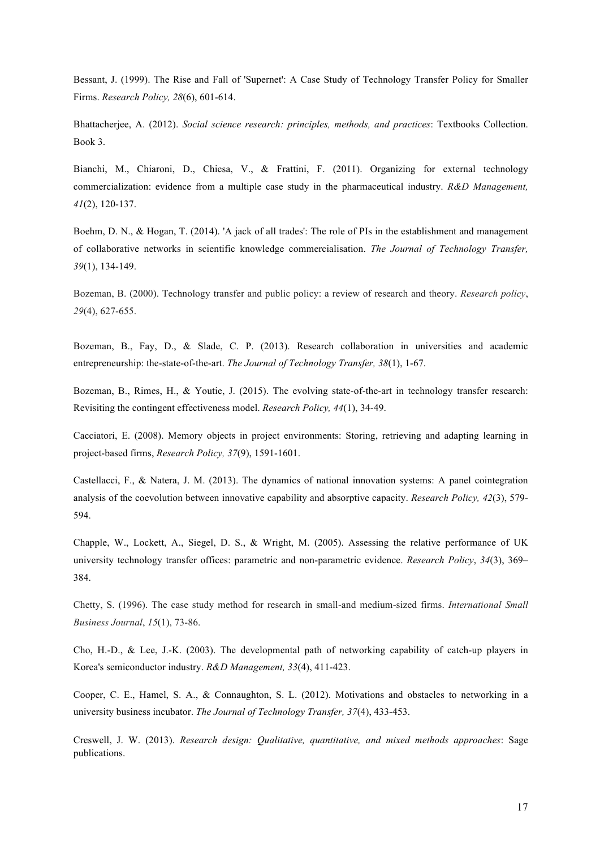Bessant, J. (1999). The Rise and Fall of 'Supernet': A Case Study of Technology Transfer Policy for Smaller Firms. *Research Policy, 28*(6), 601-614.

Bhattacherjee, A. (2012). *Social science research: principles, methods, and practices*: Textbooks Collection. Book 3.

Bianchi, M., Chiaroni, D., Chiesa, V., & Frattini, F. (2011). Organizing for external technology commercialization: evidence from a multiple case study in the pharmaceutical industry. *R&D Management, 41*(2), 120-137.

Boehm, D. N., & Hogan, T. (2014). 'A jack of all trades': The role of PIs in the establishment and management of collaborative networks in scientific knowledge commercialisation. *The Journal of Technology Transfer, 39*(1), 134-149.

Bozeman, B. (2000). Technology transfer and public policy: a review of research and theory. *Research policy*, *29*(4), 627-655.

Bozeman, B., Fay, D., & Slade, C. P. (2013). Research collaboration in universities and academic entrepreneurship: the-state-of-the-art. *The Journal of Technology Transfer, 38*(1), 1-67.

Bozeman, B., Rimes, H., & Youtie, J. (2015). The evolving state-of-the-art in technology transfer research: Revisiting the contingent effectiveness model. *Research Policy, 44*(1), 34-49.

Cacciatori, E. (2008). Memory objects in project environments: Storing, retrieving and adapting learning in project-based firms, *Research Policy, 37*(9), 1591-1601.

Castellacci, F., & Natera, J. M. (2013). The dynamics of national innovation systems: A panel cointegration analysis of the coevolution between innovative capability and absorptive capacity. *Research Policy, 42*(3), 579- 594.

Chapple, W., Lockett, A., Siegel, D. S., & Wright, M. (2005). Assessing the relative performance of UK university technology transfer offices: parametric and non-parametric evidence. *Research Policy*, *34*(3), 369– 384.

Chetty, S. (1996). The case study method for research in small-and medium-sized firms. *International Small Business Journal*, *15*(1), 73-86.

Cho, H.-D., & Lee, J.-K. (2003). The developmental path of networking capability of catch-up players in Korea's semiconductor industry. *R&D Management, 33*(4), 411-423.

Cooper, C. E., Hamel, S. A., & Connaughton, S. L. (2012). Motivations and obstacles to networking in a university business incubator. *The Journal of Technology Transfer, 37*(4), 433-453.

Creswell, J. W. (2013). *Research design: Qualitative, quantitative, and mixed methods approaches*: Sage publications.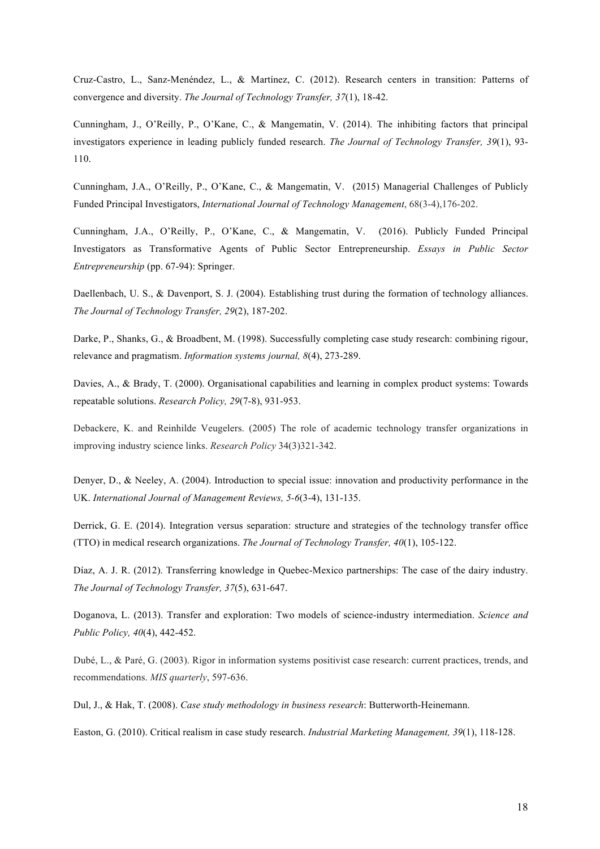Cruz-Castro, L., Sanz-Menéndez, L., & Martínez, C. (2012). Research centers in transition: Patterns of convergence and diversity. *The Journal of Technology Transfer, 37*(1), 18-42.

Cunningham, J., O'Reilly, P., O'Kane, C., & Mangematin, V. (2014). The inhibiting factors that principal investigators experience in leading publicly funded research. *The Journal of Technology Transfer, 39*(1), 93- 110.

Cunningham, J.A., O'Reilly, P., O'Kane, C., & Mangematin, V. (2015) Managerial Challenges of Publicly Funded Principal Investigators, *International Journal of Technology Management*, 68(3-4),176-202.

Cunningham, J.A., O'Reilly, P., O'Kane, C., & Mangematin, V. (2016). Publicly Funded Principal Investigators as Transformative Agents of Public Sector Entrepreneurship. *Essays in Public Sector Entrepreneurship* (pp. 67-94): Springer.

Daellenbach, U. S., & Davenport, S. J. (2004). Establishing trust during the formation of technology alliances. *The Journal of Technology Transfer, 29*(2), 187-202.

Darke, P., Shanks, G., & Broadbent, M. (1998). Successfully completing case study research: combining rigour, relevance and pragmatism. *Information systems journal, 8*(4), 273-289.

Davies, A., & Brady, T. (2000). Organisational capabilities and learning in complex product systems: Towards repeatable solutions. *Research Policy, 29*(7-8), 931-953.

Debackere, K. and Reinhilde Veugelers. (2005) The role of academic technology transfer organizations in improving industry science links. *Research Policy* 34(3)321-342.

Denyer, D., & Neeley, A. (2004). Introduction to special issue: innovation and productivity performance in the UK. *International Journal of Management Reviews, 5-6*(3-4), 131-135.

Derrick, G. E. (2014). Integration versus separation: structure and strategies of the technology transfer office (TTO) in medical research organizations. *The Journal of Technology Transfer, 40*(1), 105-122.

Díaz, A. J. R. (2012). Transferring knowledge in Quebec-Mexico partnerships: The case of the dairy industry. *The Journal of Technology Transfer, 37*(5), 631-647.

Doganova, L. (2013). Transfer and exploration: Two models of science-industry intermediation. *Science and Public Policy, 40*(4), 442-452.

Dubé, L., & Paré, G. (2003). Rigor in information systems positivist case research: current practices, trends, and recommendations. *MIS quarterly*, 597-636.

Dul, J., & Hak, T. (2008). *Case study methodology in business research*: Butterworth-Heinemann.

Easton, G. (2010). Critical realism in case study research. *Industrial Marketing Management, 39*(1), 118-128.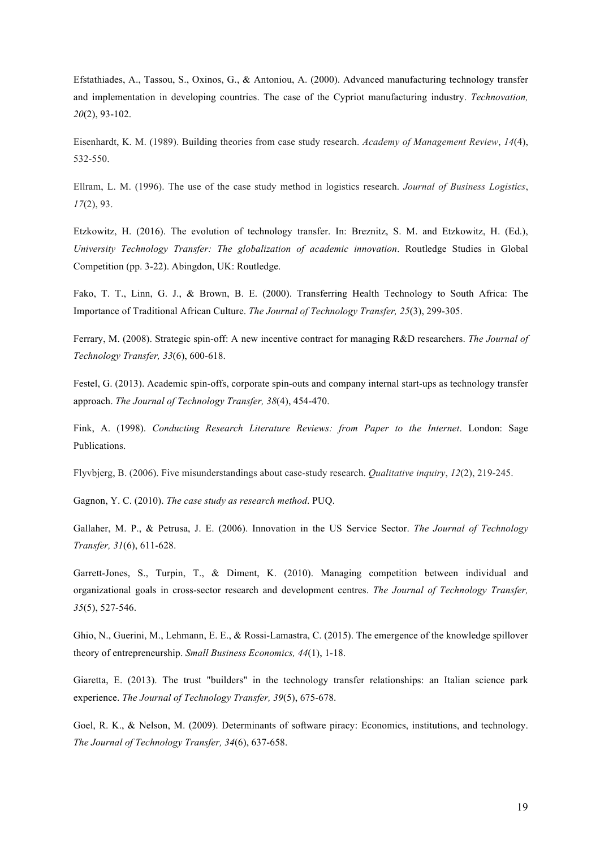Efstathiades, A., Tassou, S., Oxinos, G., & Antoniou, A. (2000). Advanced manufacturing technology transfer and implementation in developing countries. The case of the Cypriot manufacturing industry. *Technovation, 20*(2), 93-102.

Eisenhardt, K. M. (1989). Building theories from case study research. *Academy of Management Review*, *14*(4), 532-550.

Ellram, L. M. (1996). The use of the case study method in logistics research. *Journal of Business Logistics*, *17*(2), 93.

Etzkowitz, H. (2016). The evolution of technology transfer. In: Breznitz, S. M. and Etzkowitz, H. (Ed.), *University Technology Transfer: The globalization of academic innovation*. Routledge Studies in Global Competition (pp. 3-22). Abingdon, UK: Routledge.

Fako, T. T., Linn, G. J., & Brown, B. E. (2000). Transferring Health Technology to South Africa: The Importance of Traditional African Culture. *The Journal of Technology Transfer, 25*(3), 299-305.

Ferrary, M. (2008). Strategic spin-off: A new incentive contract for managing R&D researchers. *The Journal of Technology Transfer, 33*(6), 600-618.

Festel, G. (2013). Academic spin-offs, corporate spin-outs and company internal start-ups as technology transfer approach. *The Journal of Technology Transfer, 38*(4), 454-470.

Fink, A. (1998). *Conducting Research Literature Reviews: from Paper to the Internet*. London: Sage Publications.

Flyvbjerg, B. (2006). Five misunderstandings about case-study research. *Qualitative inquiry*, *12*(2), 219-245.

Gagnon, Y. C. (2010). *The case study as research method*. PUQ.

Gallaher, M. P., & Petrusa, J. E. (2006). Innovation in the US Service Sector. *The Journal of Technology Transfer, 31*(6), 611-628.

Garrett-Jones, S., Turpin, T., & Diment, K. (2010). Managing competition between individual and organizational goals in cross-sector research and development centres. *The Journal of Technology Transfer, 35*(5), 527-546.

Ghio, N., Guerini, M., Lehmann, E. E., & Rossi-Lamastra, C. (2015). The emergence of the knowledge spillover theory of entrepreneurship. *Small Business Economics, 44*(1), 1-18.

Giaretta, E. (2013). The trust "builders" in the technology transfer relationships: an Italian science park experience. *The Journal of Technology Transfer, 39*(5), 675-678.

Goel, R. K., & Nelson, M. (2009). Determinants of software piracy: Economics, institutions, and technology. *The Journal of Technology Transfer, 34*(6), 637-658.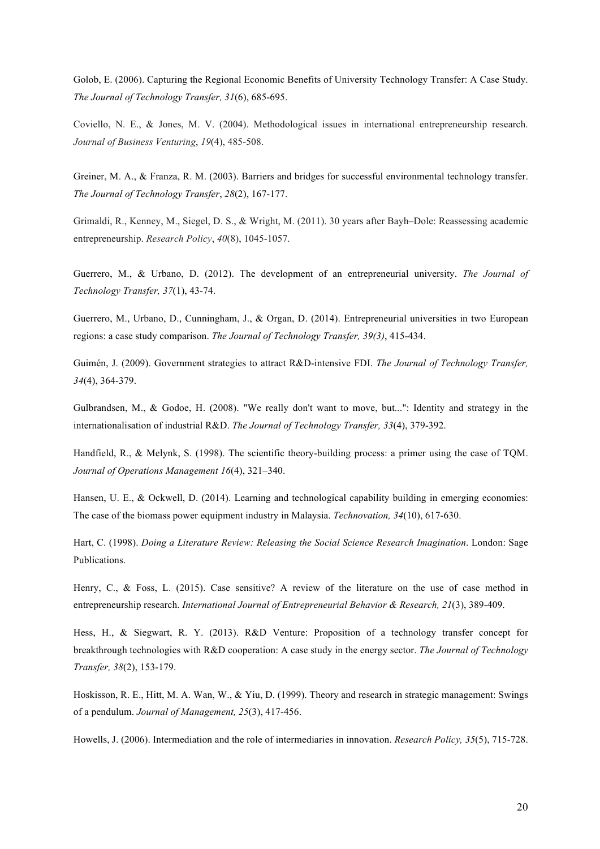Golob, E. (2006). Capturing the Regional Economic Benefits of University Technology Transfer: A Case Study. *The Journal of Technology Transfer, 31*(6), 685-695.

Coviello, N. E., & Jones, M. V. (2004). Methodological issues in international entrepreneurship research. *Journal of Business Venturing*, *19*(4), 485-508.

Greiner, M. A., & Franza, R. M. (2003). Barriers and bridges for successful environmental technology transfer. *The Journal of Technology Transfer*, *28*(2), 167-177.

Grimaldi, R., Kenney, M., Siegel, D. S., & Wright, M. (2011). 30 years after Bayh–Dole: Reassessing academic entrepreneurship. *Research Policy*, *40*(8), 1045-1057.

Guerrero, M., & Urbano, D. (2012). The development of an entrepreneurial university. *The Journal of Technology Transfer, 37*(1), 43-74.

Guerrero, M., Urbano, D., Cunningham, J., & Organ, D. (2014). Entrepreneurial universities in two European regions: a case study comparison. *The Journal of Technology Transfer, 39(3)*, 415-434.

Guimén, J. (2009). Government strategies to attract R&D-intensive FDI. *The Journal of Technology Transfer, 34*(4), 364-379.

Gulbrandsen, M., & Godoe, H. (2008). "We really don't want to move, but...": Identity and strategy in the internationalisation of industrial R&D. *The Journal of Technology Transfer, 33*(4), 379-392.

Handfield, R., & Melynk, S. (1998). The scientific theory-building process: a primer using the case of TQM. *Journal of Operations Management 16*(4), 321–340.

Hansen, U. E., & Ockwell, D. (2014). Learning and technological capability building in emerging economies: The case of the biomass power equipment industry in Malaysia. *Technovation, 34*(10), 617-630.

Hart, C. (1998). *Doing a Literature Review: Releasing the Social Science Research Imagination*. London: Sage Publications.

Henry, C., & Foss, L. (2015). Case sensitive? A review of the literature on the use of case method in entrepreneurship research. *International Journal of Entrepreneurial Behavior & Research, 21*(3), 389-409.

Hess, H., & Siegwart, R. Y. (2013). R&D Venture: Proposition of a technology transfer concept for breakthrough technologies with R&D cooperation: A case study in the energy sector. *The Journal of Technology Transfer, 38*(2), 153-179.

Hoskisson, R. E., Hitt, M. A. Wan, W., & Yiu, D. (1999). Theory and research in strategic management: Swings of a pendulum. *Journal of Management, 25*(3), 417-456.

Howells, J. (2006). Intermediation and the role of intermediaries in innovation. *Research Policy, 35*(5), 715-728.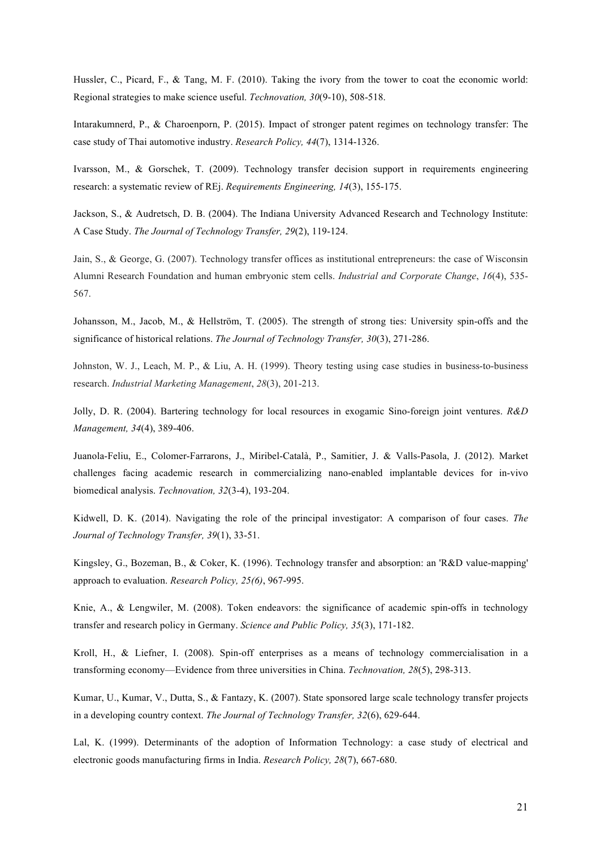Hussler, C., Picard, F., & Tang, M. F. (2010). Taking the ivory from the tower to coat the economic world: Regional strategies to make science useful. *Technovation, 30*(9-10), 508-518.

Intarakumnerd, P., & Charoenporn, P. (2015). Impact of stronger patent regimes on technology transfer: The case study of Thai automotive industry. *Research Policy, 44*(7), 1314-1326.

Ivarsson, M., & Gorschek, T. (2009). Technology transfer decision support in requirements engineering research: a systematic review of REj. *Requirements Engineering, 14*(3), 155-175.

Jackson, S., & Audretsch, D. B. (2004). The Indiana University Advanced Research and Technology Institute: A Case Study. *The Journal of Technology Transfer, 29*(2), 119-124.

Jain, S., & George, G. (2007). Technology transfer offices as institutional entrepreneurs: the case of Wisconsin Alumni Research Foundation and human embryonic stem cells. *Industrial and Corporate Change*, *16*(4), 535- 567.

Johansson, M., Jacob, M., & Hellström, T. (2005). The strength of strong ties: University spin-offs and the significance of historical relations. *The Journal of Technology Transfer, 30*(3), 271-286.

Johnston, W. J., Leach, M. P., & Liu, A. H. (1999). Theory testing using case studies in business-to-business research. *Industrial Marketing Management*, *28*(3), 201-213.

Jolly, D. R. (2004). Bartering technology for local resources in exogamic Sino-foreign joint ventures. *R&D Management, 34*(4), 389-406.

Juanola-Feliu, E., Colomer-Farrarons, J., Miribel-Català, P., Samitier, J. & Valls-Pasola, J. (2012). Market challenges facing academic research in commercializing nano-enabled implantable devices for in-vivo biomedical analysis. *Technovation, 32*(3-4), 193-204.

Kidwell, D. K. (2014). Navigating the role of the principal investigator: A comparison of four cases. *The Journal of Technology Transfer, 39*(1), 33-51.

Kingsley, G., Bozeman, B., & Coker, K. (1996). Technology transfer and absorption: an 'R&D value-mapping' approach to evaluation. *Research Policy, 25(6)*, 967-995.

Knie, A., & Lengwiler, M. (2008). Token endeavors: the significance of academic spin-offs in technology transfer and research policy in Germany. *Science and Public Policy, 35*(3), 171-182.

Kroll, H., & Liefner, I. (2008). Spin-off enterprises as a means of technology commercialisation in a transforming economy—Evidence from three universities in China. *Technovation, 28*(5), 298-313.

Kumar, U., Kumar, V., Dutta, S., & Fantazy, K. (2007). State sponsored large scale technology transfer projects in a developing country context. *The Journal of Technology Transfer, 32*(6), 629-644.

Lal, K. (1999). Determinants of the adoption of Information Technology: a case study of electrical and electronic goods manufacturing firms in India. *Research Policy, 28*(7), 667-680.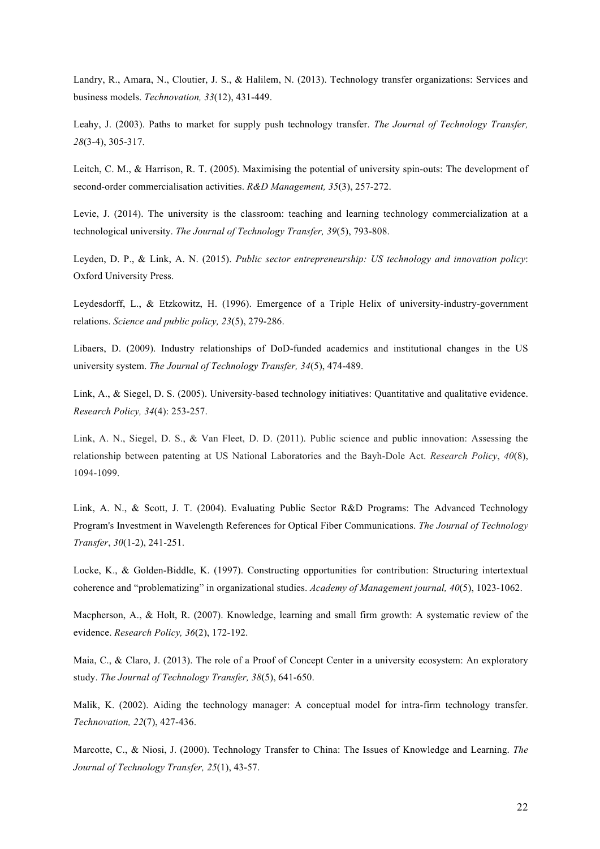Landry, R., Amara, N., Cloutier, J. S., & Halilem, N. (2013). Technology transfer organizations: Services and business models. *Technovation, 33*(12), 431-449.

Leahy, J. (2003). Paths to market for supply push technology transfer. *The Journal of Technology Transfer, 28*(3-4), 305-317.

Leitch, C. M., & Harrison, R. T. (2005). Maximising the potential of university spin-outs: The development of second-order commercialisation activities. *R&D Management, 35*(3), 257-272.

Levie, J. (2014). The university is the classroom: teaching and learning technology commercialization at a technological university. *The Journal of Technology Transfer, 39*(5), 793-808.

Leyden, D. P., & Link, A. N. (2015). *Public sector entrepreneurship: US technology and innovation policy*: Oxford University Press.

Leydesdorff, L., & Etzkowitz, H. (1996). Emergence of a Triple Helix of university-industry-government relations. *Science and public policy, 23*(5), 279-286.

Libaers, D. (2009). Industry relationships of DoD-funded academics and institutional changes in the US university system. *The Journal of Technology Transfer, 34*(5), 474-489.

Link, A., & Siegel, D. S. (2005). University-based technology initiatives: Quantitative and qualitative evidence. *Research Policy, 34*(4): 253-257.

Link, A. N., Siegel, D. S., & Van Fleet, D. D. (2011). Public science and public innovation: Assessing the relationship between patenting at US National Laboratories and the Bayh-Dole Act. *Research Policy*, *40*(8), 1094-1099.

Link, A. N., & Scott, J. T. (2004). Evaluating Public Sector R&D Programs: The Advanced Technology Program's Investment in Wavelength References for Optical Fiber Communications. *The Journal of Technology Transfer*, *30*(1-2), 241-251.

Locke, K., & Golden-Biddle, K. (1997). Constructing opportunities for contribution: Structuring intertextual coherence and "problematizing" in organizational studies. *Academy of Management journal, 40*(5), 1023-1062.

Macpherson, A., & Holt, R. (2007). Knowledge, learning and small firm growth: A systematic review of the evidence. *Research Policy, 36*(2), 172-192.

Maia, C., & Claro, J. (2013). The role of a Proof of Concept Center in a university ecosystem: An exploratory study. *The Journal of Technology Transfer, 38*(5), 641-650.

Malik, K. (2002). Aiding the technology manager: A conceptual model for intra-firm technology transfer. *Technovation, 22*(7), 427-436.

Marcotte, C., & Niosi, J. (2000). Technology Transfer to China: The Issues of Knowledge and Learning. *The Journal of Technology Transfer, 25*(1), 43-57.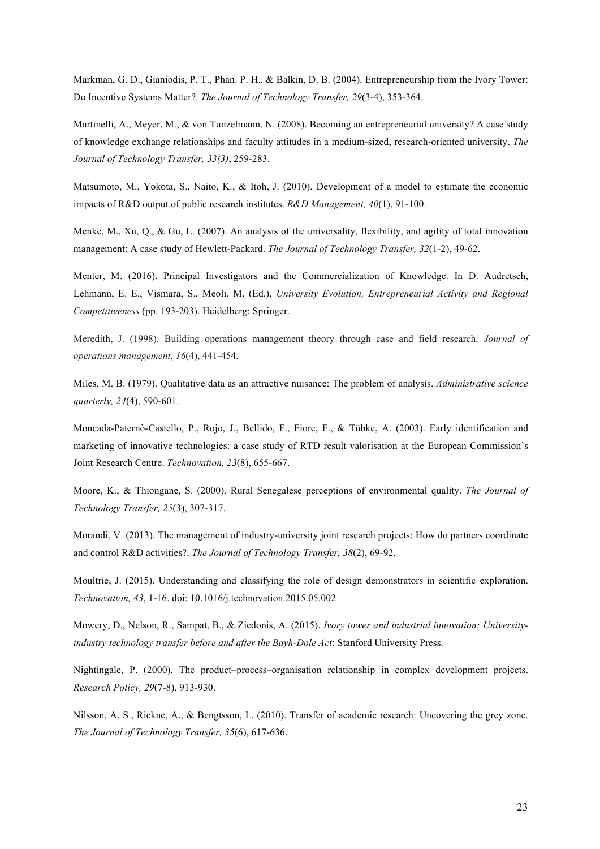Markman, G. D., Gianiodis, P. T., Phan. P. H., & Balkin, D. B. (2004). Entrepreneurship from the Ivory Tower: Do Incentive Systems Matter?. *The Journal of Technology Transfer, 29*(3-4), 353-364.

Martinelli, A., Meyer, M., & von Tunzelmann, N. (2008). Becoming an entrepreneurial university? A case study of knowledge exchange relationships and faculty attitudes in a medium-sized, research-oriented university. *The Journal of Technology Transfer, 33(3)*, 259-283.

Matsumoto, M., Yokota, S., Naito, K., & Itoh, J. (2010). Development of a model to estimate the economic impacts of R&D output of public research institutes. *R&D Management, 40*(1), 91-100.

Menke, M., Xu, Q., & Gu, L. (2007). An analysis of the universality, flexibility, and agility of total innovation management: A case study of Hewlett-Packard. *The Journal of Technology Transfer, 32*(1-2), 49-62.

Menter, M. (2016). Principal Investigators and the Commercialization of Knowledge. In D. Audretsch, Lehmann, E. E., Vismara, S., Meoli, M. (Ed.), *University Evolution, Entrepreneurial Activity and Regional Competitiveness* (pp. 193-203). Heidelberg: Springer.

Meredith, J. (1998). Building operations management theory through case and field research. *Journal of operations management*, *16*(4), 441-454.

Miles, M. B. (1979). Qualitative data as an attractive nuisance: The problem of analysis. *Administrative science quarterly, 24*(4), 590-601.

Moncada-Paternò-Castello, P., Rojo, J., Bellido, F., Fiore, F., & Tübke, A. (2003). Early identification and marketing of innovative technologies: a case study of RTD result valorisation at the European Commission's Joint Research Centre. *Technovation, 23*(8), 655-667.

Moore, K., & Thiongane, S. (2000). Rural Senegalese perceptions of environmental quality. *The Journal of Technology Transfer, 25*(3), 307-317.

Morandi, V. (2013). The management of industry-university joint research projects: How do partners coordinate and control R&D activities?. *The Journal of Technology Transfer, 38*(2), 69-92.

Moultrie, J. (2015). Understanding and classifying the role of design demonstrators in scientific exploration. *Technovation, 43*, 1-16. doi: 10.1016/j.technovation.2015.05.002

Mowery, D., Nelson, R., Sampat, B., & Ziedonis, A. (2015). *Ivory tower and industrial innovation: Universityindustry technology transfer before and after the Bayh-Dole Act*: Stanford University Press.

Nightingale, P. (2000). The product–process–organisation relationship in complex development projects. *Research Policy, 29*(7-8), 913-930.

Nilsson, A. S., Rickne, A., & Bengtsson, L. (2010). Transfer of academic research: Uncovering the grey zone. *The Journal of Technology Transfer, 35*(6), 617-636.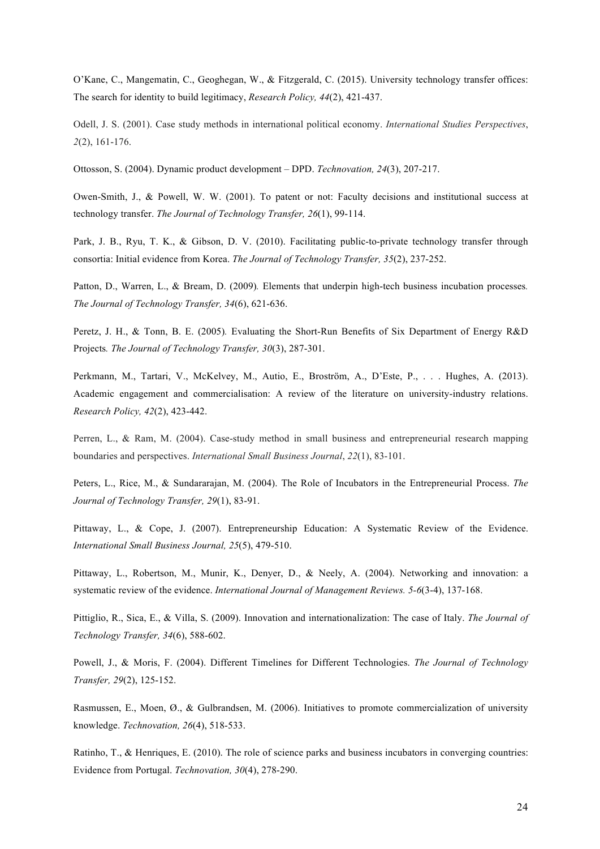O'Kane, C., Mangematin, C., Geoghegan, W., & Fitzgerald, C. (2015). University technology transfer offices: The search for identity to build legitimacy, *Research Policy, 44*(2), 421-437.

Odell, J. S. (2001). Case study methods in international political economy. *International Studies Perspectives*, *2*(2), 161-176.

Ottosson, S. (2004). Dynamic product development – DPD. *Technovation, 24*(3), 207-217.

Owen-Smith, J., & Powell, W. W. (2001). To patent or not: Faculty decisions and institutional success at technology transfer. *The Journal of Technology Transfer, 26*(1), 99-114.

Park, J. B., Ryu, T. K., & Gibson, D. V. (2010). Facilitating public-to-private technology transfer through consortia: Initial evidence from Korea. *The Journal of Technology Transfer, 35*(2), 237-252.

Patton, D., Warren, L., & Bream, D. (2009)*.* Elements that underpin high-tech business incubation processes*. The Journal of Technology Transfer, 34*(6), 621-636.

Peretz, J. H., & Tonn, B. E. (2005)*.* Evaluating the Short-Run Benefits of Six Department of Energy R&D Projects*. The Journal of Technology Transfer, 30*(3), 287-301.

Perkmann, M., Tartari, V., McKelvey, M., Autio, E., Broström, A., D'Este, P., . . . Hughes, A. (2013). Academic engagement and commercialisation: A review of the literature on university-industry relations. *Research Policy, 42*(2), 423-442.

Perren, L., & Ram, M. (2004). Case-study method in small business and entrepreneurial research mapping boundaries and perspectives. *International Small Business Journal*, *22*(1), 83-101.

Peters, L., Rice, M., & Sundararajan, M. (2004). The Role of Incubators in the Entrepreneurial Process. *The Journal of Technology Transfer, 29*(1), 83-91.

Pittaway, L., & Cope, J. (2007). Entrepreneurship Education: A Systematic Review of the Evidence. *International Small Business Journal, 25*(5), 479-510.

Pittaway, L., Robertson, M., Munir, K., Denyer, D., & Neely, A. (2004). Networking and innovation: a systematic review of the evidence. *International Journal of Management Reviews. 5-6*(3-4), 137-168.

Pittiglio, R., Sica, E., & Villa, S. (2009). Innovation and internationalization: The case of Italy. *The Journal of Technology Transfer, 34*(6), 588-602.

Powell, J., & Moris, F. (2004). Different Timelines for Different Technologies. *The Journal of Technology Transfer, 29*(2), 125-152.

Rasmussen, E., Moen, Ø., & Gulbrandsen, M. (2006). Initiatives to promote commercialization of university knowledge. *Technovation, 26*(4), 518-533.

Ratinho, T., & Henriques, E. (2010). The role of science parks and business incubators in converging countries: Evidence from Portugal. *Technovation, 30*(4), 278-290.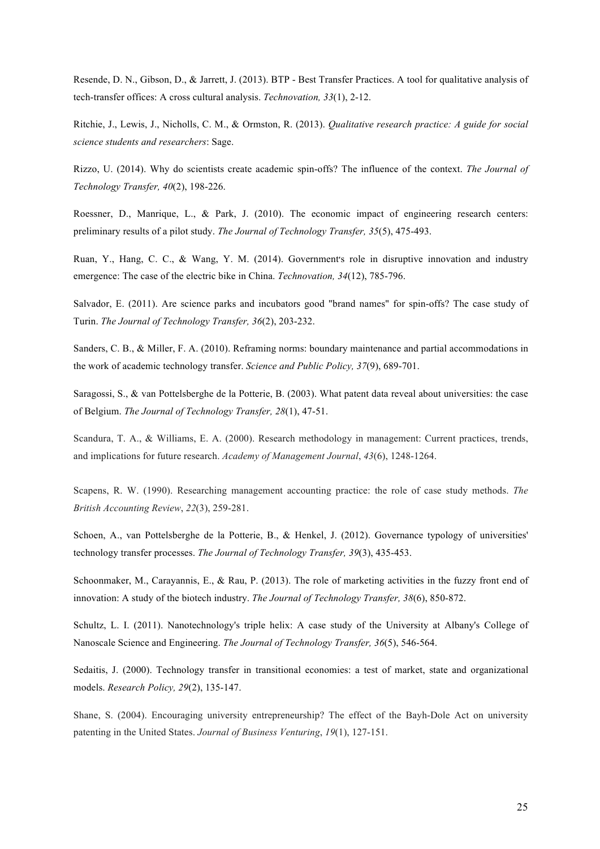Resende, D. N., Gibson, D., & Jarrett, J. (2013). BTP - Best Transfer Practices. A tool for qualitative analysis of tech-transfer offices: A cross cultural analysis. *Technovation, 33*(1), 2-12.

Ritchie, J., Lewis, J., Nicholls, C. M., & Ormston, R. (2013). *Qualitative research practice: A guide for social science students and researchers*: Sage.

Rizzo, U. (2014). Why do scientists create academic spin-offs? The influence of the context. *The Journal of Technology Transfer, 40*(2), 198-226.

Roessner, D., Manrique, L., & Park, J. (2010). The economic impact of engineering research centers: preliminary results of a pilot study. *The Journal of Technology Transfer, 35*(5), 475-493.

Ruan, Y., Hang, C. C., & Wang, Y. M. (2014). Government׳s role in disruptive innovation and industry emergence: The case of the electric bike in China. *Technovation, 34*(12), 785-796.

Salvador, E. (2011). Are science parks and incubators good "brand names" for spin-offs? The case study of Turin. *The Journal of Technology Transfer, 36*(2), 203-232.

Sanders, C. B., & Miller, F. A. (2010). Reframing norms: boundary maintenance and partial accommodations in the work of academic technology transfer. *Science and Public Policy, 37*(9), 689-701.

Saragossi, S., & van Pottelsberghe de la Potterie, B. (2003). What patent data reveal about universities: the case of Belgium. *The Journal of Technology Transfer, 28*(1), 47-51.

Scandura, T. A., & Williams, E. A. (2000). Research methodology in management: Current practices, trends, and implications for future research. *Academy of Management Journal*, *43*(6), 1248-1264.

Scapens, R. W. (1990). Researching management accounting practice: the role of case study methods. *The British Accounting Review*, *22*(3), 259-281.

Schoen, A., van Pottelsberghe de la Potterie, B., & Henkel, J. (2012). Governance typology of universities' technology transfer processes. *The Journal of Technology Transfer, 39*(3), 435-453.

Schoonmaker, M., Carayannis, E., & Rau, P. (2013). The role of marketing activities in the fuzzy front end of innovation: A study of the biotech industry. *The Journal of Technology Transfer, 38*(6), 850-872.

Schultz, L. I. (2011). Nanotechnology's triple helix: A case study of the University at Albany's College of Nanoscale Science and Engineering. *The Journal of Technology Transfer, 36*(5), 546-564.

Sedaitis, J. (2000). Technology transfer in transitional economies: a test of market, state and organizational models. *Research Policy, 29*(2), 135-147.

Shane, S. (2004). Encouraging university entrepreneurship? The effect of the Bayh-Dole Act on university patenting in the United States. *Journal of Business Venturing*, *19*(1), 127-151.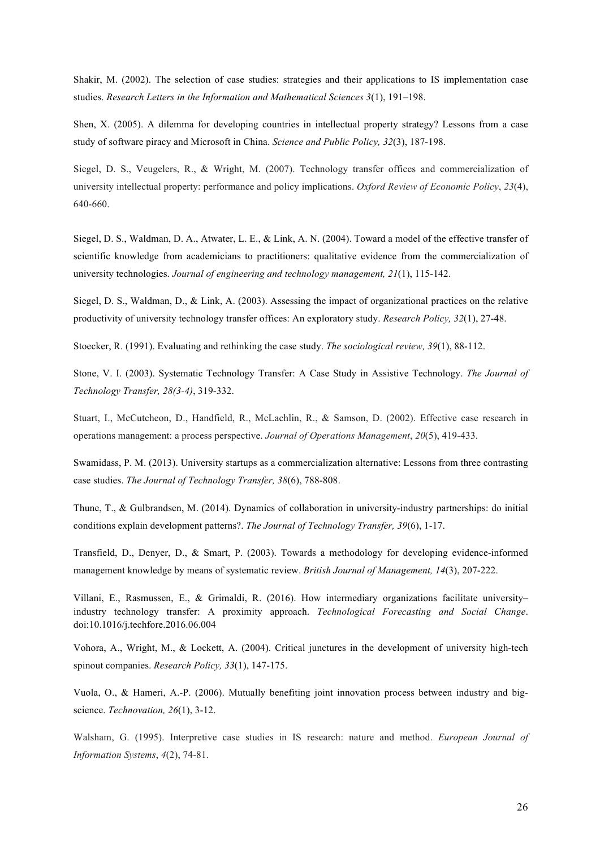Shakir, M. (2002). The selection of case studies: strategies and their applications to IS implementation case studies. *Research Letters in the Information and Mathematical Sciences 3*(1), 191–198.

Shen, X. (2005). A dilemma for developing countries in intellectual property strategy? Lessons from a case study of software piracy and Microsoft in China. *Science and Public Policy, 32*(3), 187-198.

Siegel, D. S., Veugelers, R., & Wright, M. (2007). Technology transfer offices and commercialization of university intellectual property: performance and policy implications. *Oxford Review of Economic Policy*, *23*(4), 640-660.

Siegel, D. S., Waldman, D. A., Atwater, L. E., & Link, A. N. (2004). Toward a model of the effective transfer of scientific knowledge from academicians to practitioners: qualitative evidence from the commercialization of university technologies. *Journal of engineering and technology management, 21*(1), 115-142.

Siegel, D. S., Waldman, D., & Link, A. (2003). Assessing the impact of organizational practices on the relative productivity of university technology transfer offices: An exploratory study. *Research Policy, 32*(1), 27-48.

Stoecker, R. (1991). Evaluating and rethinking the case study. *The sociological review, 39*(1), 88-112.

Stone, V. I. (2003). Systematic Technology Transfer: A Case Study in Assistive Technology. *The Journal of Technology Transfer, 28(3-4)*, 319-332.

Stuart, I., McCutcheon, D., Handfield, R., McLachlin, R., & Samson, D. (2002). Effective case research in operations management: a process perspective. *Journal of Operations Management*, *20*(5), 419-433.

Swamidass, P. M. (2013). University startups as a commercialization alternative: Lessons from three contrasting case studies. *The Journal of Technology Transfer, 38*(6), 788-808.

Thune, T., & Gulbrandsen, M. (2014). Dynamics of collaboration in university-industry partnerships: do initial conditions explain development patterns?. *The Journal of Technology Transfer, 39*(6), 1-17.

Transfield, D., Denyer, D., & Smart, P. (2003). Towards a methodology for developing evidence-informed management knowledge by means of systematic review. *British Journal of Management, 14*(3), 207-222.

Villani, E., Rasmussen, E., & Grimaldi, R. (2016). How intermediary organizations facilitate university– industry technology transfer: A proximity approach. *Technological Forecasting and Social Change*. doi:10.1016/j.techfore.2016.06.004

Vohora, A., Wright, M., & Lockett, A. (2004). Critical junctures in the development of university high-tech spinout companies. *Research Policy, 33*(1), 147-175.

Vuola, O., & Hameri, A.-P. (2006). Mutually benefiting joint innovation process between industry and bigscience. *Technovation, 26*(1), 3-12.

Walsham, G. (1995). Interpretive case studies in IS research: nature and method. *European Journal of Information Systems*, *4*(2), 74-81.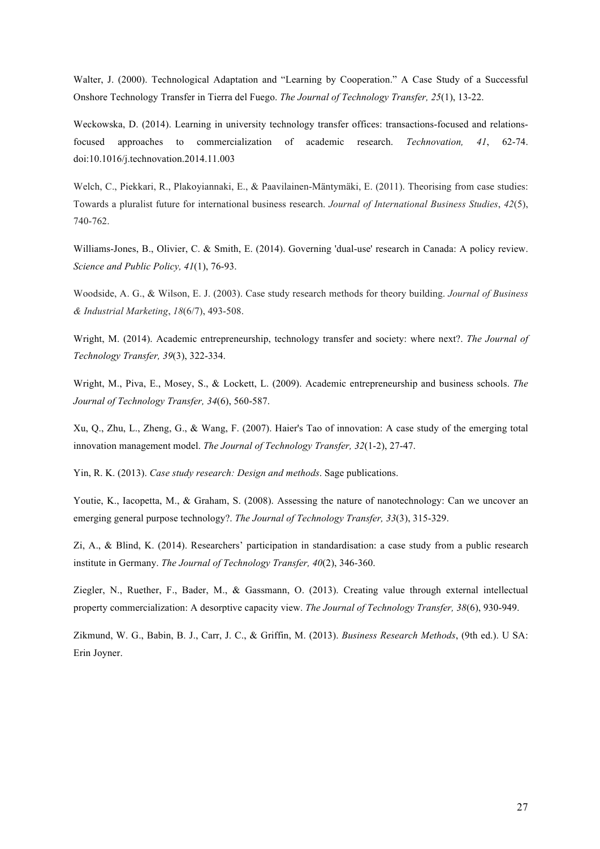Walter, J. (2000). Technological Adaptation and "Learning by Cooperation." A Case Study of a Successful Onshore Technology Transfer in Tierra del Fuego. *The Journal of Technology Transfer, 25*(1), 13-22.

Weckowska, D. (2014). Learning in university technology transfer offices: transactions-focused and relationsfocused approaches to commercialization of academic research. *Technovation, 41*, 62-74. doi:10.1016/j.technovation.2014.11.003

Welch, C., Piekkari, R., Plakoviannaki, E., & Paavilainen-Mäntymäki, E. (2011). Theorising from case studies: Towards a pluralist future for international business research. *Journal of International Business Studies*, *42*(5), 740-762.

Williams-Jones, B., Olivier, C. & Smith, E. (2014). Governing 'dual-use' research in Canada: A policy review. *Science and Public Policy, 41*(1), 76-93.

Woodside, A. G., & Wilson, E. J. (2003). Case study research methods for theory building. *Journal of Business & Industrial Marketing*, *18*(6/7), 493-508.

Wright, M. (2014). Academic entrepreneurship, technology transfer and society: where next?. *The Journal of Technology Transfer, 39*(3), 322-334.

Wright, M., Piva, E., Mosey, S., & Lockett, L. (2009). Academic entrepreneurship and business schools. *The Journal of Technology Transfer, 34*(6), 560-587.

Xu, Q., Zhu, L., Zheng, G., & Wang, F. (2007). Haier's Tao of innovation: A case study of the emerging total innovation management model. *The Journal of Technology Transfer, 32*(1-2), 27-47.

Yin, R. K. (2013). *Case study research: Design and methods*. Sage publications.

Youtie, K., Iacopetta, M., & Graham, S. (2008). Assessing the nature of nanotechnology: Can we uncover an emerging general purpose technology?. *The Journal of Technology Transfer, 33*(3), 315-329.

Zi, A., & Blind, K. (2014). Researchers' participation in standardisation: a case study from a public research institute in Germany. *The Journal of Technology Transfer, 40*(2), 346-360.

Ziegler, N., Ruether, F., Bader, M., & Gassmann, O. (2013). Creating value through external intellectual property commercialization: A desorptive capacity view. *The Journal of Technology Transfer, 38*(6), 930-949.

Zikmund, W. G., Babin, B. J., Carr, J. C., & Griffin, M. (2013). *Business Research Methods*, (9th ed.). U SA: Erin Joyner.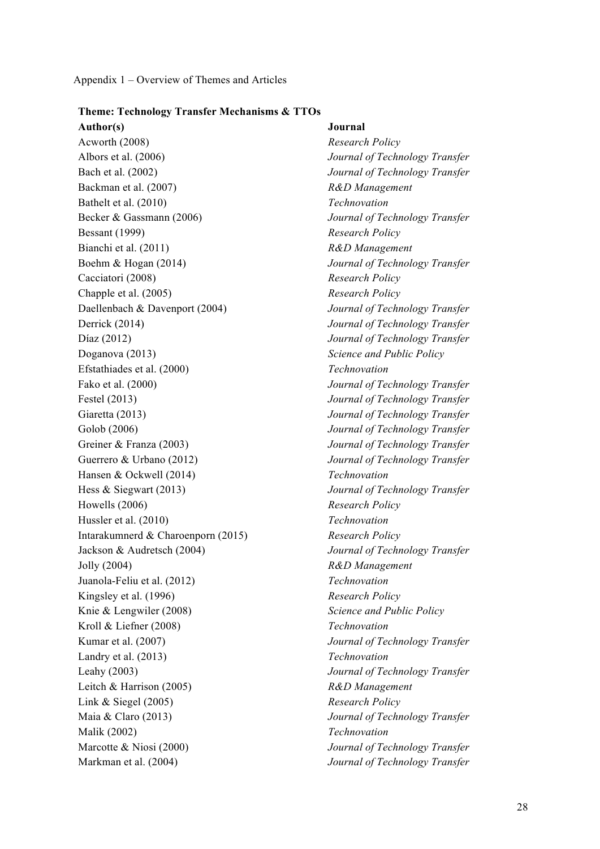Appendix 1 – Overview of Themes and Articles

## **Theme: Technology Transfer Mechanisms & TTOs**

**Author(s) Journal** Acworth (2008) *Research Policy* Albors et al. (2006) *Journal of Technology Transfer* Bach et al. (2002) *Journal of Technology Transfer* Backman et al. (2007) *R&D Management* Bathelt et al. (2010) *Technovation* Becker & Gassmann (2006) *Journal of Technology Transfer* Bessant (1999) *Research Policy* Bianchi et al. (2011) *R&D Management* Boehm & Hogan (2014) *Journal of Technology Transfer* Cacciatori (2008) *Research Policy* Chapple et al. (2005) *Research Policy* Daellenbach & Davenport (2004) *Journal of Technology Transfer* Derrick (2014) *Journal of Technology Transfer* Díaz (2012) *Journal of Technology Transfer* Doganova (2013) *Science and Public Policy* Efstathiades et al. (2000) *Technovation* Fako et al. (2000) *Journal of Technology Transfer* Festel (2013) *Journal of Technology Transfer* Giaretta (2013) *Journal of Technology Transfer* Golob (2006) *Journal of Technology Transfer* Greiner & Franza (2003) *Journal of Technology Transfer* Guerrero & Urbano (2012) *Journal of Technology Transfer* Hansen & Ockwell (2014) *Technovation* Hess & Siegwart (2013) *Journal of Technology Transfer* Howells (2006) *Research Policy* Hussler et al. (2010) *Technovation* Intarakumnerd & Charoenporn (2015) *Research Policy* Jackson & Audretsch (2004) *Journal of Technology Transfer* Jolly (2004) *R&D Management* Juanola-Feliu et al. (2012) *Technovation* Kingsley et al. (1996) *Research Policy* Knie & Lengwiler (2008) *Science and Public Policy* Kroll & Liefner (2008) *Technovation* Kumar et al. (2007) *Journal of Technology Transfer* Landry et al. (2013) *Technovation* Leahy (2003) *Journal of Technology Transfer* Leitch & Harrison (2005) *R&D Management* Link & Siegel (2005) *Research Policy* Maia & Claro (2013) *Journal of Technology Transfer* Malik (2002) *Technovation* Marcotte & Niosi (2000) *Journal of Technology Transfer* Markman et al. (2004) *Journal of Technology Transfer*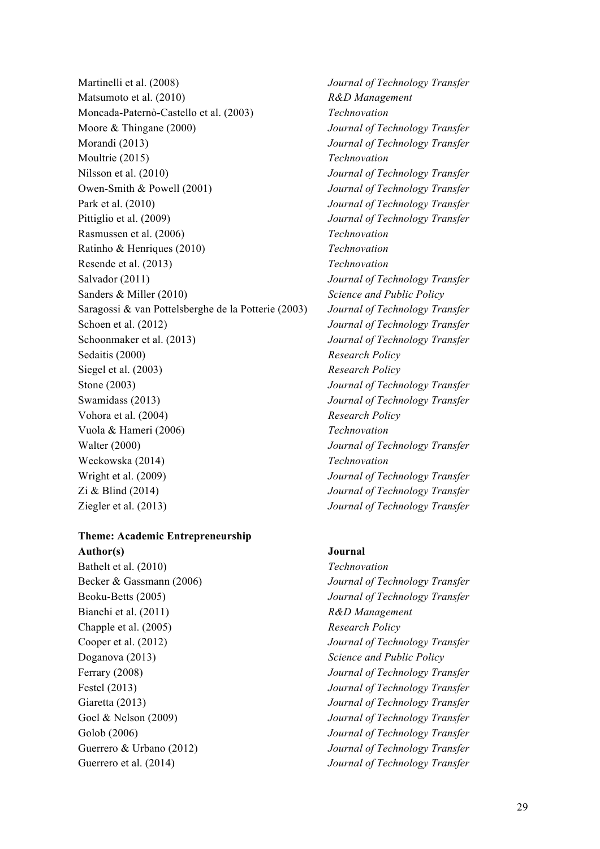Martinelli et al. (2008) *Journal of Technology Transfer* Matsumoto et al. (2010) *R&D Management* Moncada-Paternò-Castello et al. (2003) *Technovation* Moore & Thingane (2000) *Journal of Technology Transfer* Morandi (2013) *Journal of Technology Transfer* Moultrie (2015) *Technovation* Nilsson et al. (2010) *Journal of Technology Transfer* Owen-Smith & Powell (2001) *Journal of Technology Transfer* Park et al. (2010) *Journal of Technology Transfer* Pittiglio et al. (2009) *Journal of Technology Transfer* Rasmussen et al. (2006) *Technovation* Ratinho & Henriques (2010) *Technovation* Resende et al. (2013) *Technovation* Salvador (2011) *Journal of Technology Transfer* Sanders & Miller (2010) *Science and Public Policy* Saragossi & van Pottelsberghe de la Potterie (2003) *Journal of Technology Transfer* Schoen et al. (2012) *Journal of Technology Transfer* Schoonmaker et al. (2013) *Journal of Technology Transfer* Sedaitis (2000) *Research Policy* Siegel et al. (2003) *Research Policy* Stone (2003) *Journal of Technology Transfer* Swamidass (2013) *Journal of Technology Transfer* Vohora et al. (2004) *Research Policy* Vuola & Hameri (2006) *Technovation* Walter (2000) *Journal of Technology Transfer* Weckowska (2014) *Technovation* Wright et al. (2009) *Journal of Technology Transfer* Zi & Blind (2014) *Journal of Technology Transfer* Ziegler et al. (2013) *Journal of Technology Transfer*

## **Theme: Academic Entrepreneurship Author(s) Journal**

Bathelt et al. (2010) *Technovation* Bianchi et al. (2011) *R&D Management* Chapple et al. (2005) *Research Policy* Doganova (2013) *Science and Public Policy*

Becker & Gassmann (2006) *Journal of Technology Transfer* Beoku-Betts (2005) *Journal of Technology Transfer* Cooper et al. (2012) *Journal of Technology Transfer* Ferrary (2008) *Journal of Technology Transfer* Festel (2013) *Journal of Technology Transfer* Giaretta (2013) *Journal of Technology Transfer* Goel & Nelson (2009) *Journal of Technology Transfer* Golob (2006) *Journal of Technology Transfer* Guerrero & Urbano (2012) *Journal of Technology Transfer* Guerrero et al. (2014) *Journal of Technology Transfer*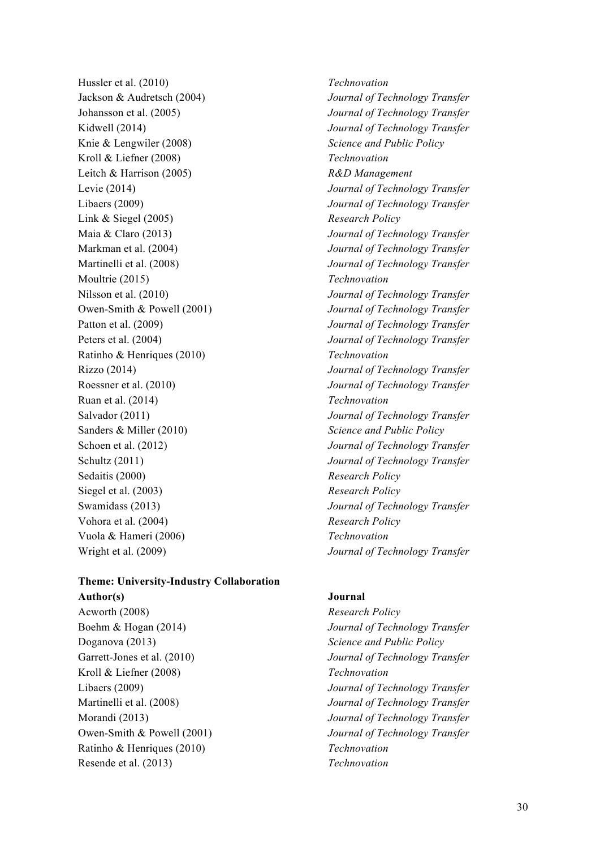Hussler et al. (2010) *Technovation* Jackson & Audretsch (2004) *Journal of Technology Transfer* Johansson et al. (2005) *Journal of Technology Transfer* Kidwell (2014) *Journal of Technology Transfer* Knie & Lengwiler (2008) *Science and Public Policy* Kroll & Liefner (2008) *Technovation* Leitch & Harrison (2005) *R&D Management* Levie (2014) *Journal of Technology Transfer* Libaers (2009) *Journal of Technology Transfer* Link & Siegel (2005) *Research Policy* Maia & Claro (2013) *Journal of Technology Transfer* Markman et al. (2004) *Journal of Technology Transfer* Martinelli et al. (2008) *Journal of Technology Transfer* Moultrie (2015) *Technovation* Nilsson et al. (2010) *Journal of Technology Transfer* Owen-Smith & Powell (2001) *Journal of Technology Transfer* Patton et al. (2009) *Journal of Technology Transfer* Peters et al. (2004) *Journal of Technology Transfer* Ratinho & Henriques (2010) *Technovation* Rizzo (2014) *Journal of Technology Transfer* Roessner et al. (2010) *Journal of Technology Transfer* Ruan et al. (2014) *Technovation* Salvador (2011) *Journal of Technology Transfer* Sanders & Miller (2010) *Science and Public Policy* Schoen et al. (2012) *Journal of Technology Transfer* Schultz (2011) *Journal of Technology Transfer* Sedaitis (2000) *Research Policy* Siegel et al. (2003) *Research Policy* Swamidass (2013) *Journal of Technology Transfer* Vohora et al. (2004) *Research Policy* Vuola & Hameri (2006) *Technovation*

## **Theme: University-Industry Collaboration Author(s) Journal**

Acworth (2008) *Research Policy* Doganova (2013) *Science and Public Policy* Kroll & Liefner (2008) *Technovation* Ratinho & Henriques (2010) *Technovation* Resende et al. (2013) *Technovation*

Wright et al. (2009) *Journal of Technology Transfer*

Boehm & Hogan (2014) *Journal of Technology Transfer* Garrett-Jones et al. (2010) *Journal of Technology Transfer* Libaers (2009) *Journal of Technology Transfer* Martinelli et al. (2008) *Journal of Technology Transfer* Morandi (2013) *Journal of Technology Transfer* Owen-Smith & Powell (2001) *Journal of Technology Transfer*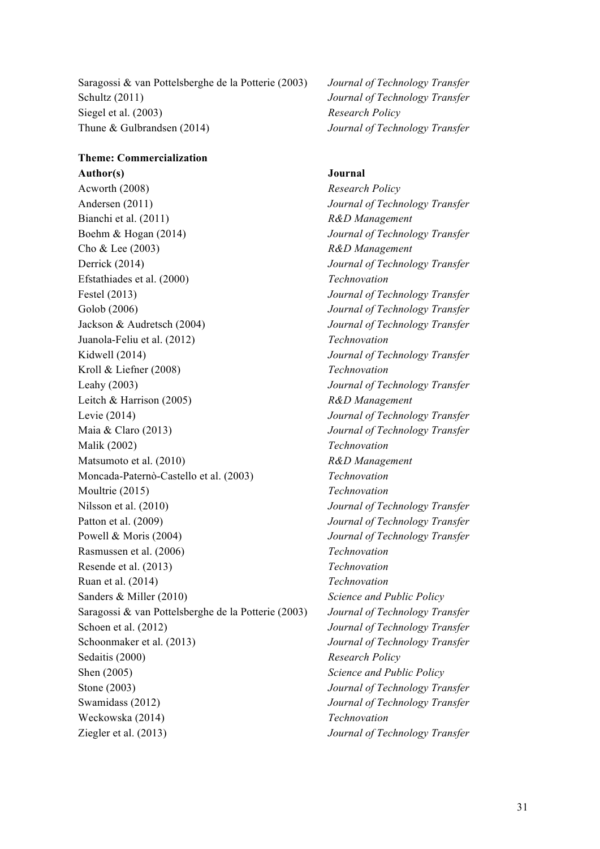Saragossi & van Pottelsberghe de la Potterie (2003) *Journal of Technology Transfer* Schultz (2011) *Journal of Technology Transfer* Siegel et al. (2003) *Research Policy* Thune & Gulbrandsen (2014) *Journal of Technology Transfer*

# **Theme: Commercialization**

**Author(s) Journal** Acworth (2008) *Research Policy* Andersen (2011) *Journal of Technology Transfer* Bianchi et al. (2011) *R&D Management* Boehm & Hogan (2014) *Journal of Technology Transfer* Cho & Lee (2003) *R&D Management* Derrick (2014) *Journal of Technology Transfer* Efstathiades et al. (2000) *Technovation* Festel (2013) *Journal of Technology Transfer* Golob (2006) *Journal of Technology Transfer* Jackson & Audretsch (2004) *Journal of Technology Transfer* Juanola-Feliu et al. (2012) *Technovation* Kidwell (2014) *Journal of Technology Transfer* Kroll & Liefner (2008) *Technovation* Leahy (2003) *Journal of Technology Transfer* Leitch & Harrison (2005) *R&D Management* Levie (2014) *Journal of Technology Transfer* Maia & Claro (2013) *Journal of Technology Transfer* Malik (2002) *Technovation* Matsumoto et al. (2010) *R&D Management* Moncada-Paternò-Castello et al. (2003) *Technovation* Moultrie (2015) *Technovation* Nilsson et al. (2010) *Journal of Technology Transfer* Patton et al. (2009) *Journal of Technology Transfer* Powell & Moris (2004) *Journal of Technology Transfer* Rasmussen et al. (2006) *Technovation* Resende et al. (2013) *Technovation* Ruan et al. (2014) *Technovation* Sanders & Miller (2010) *Science and Public Policy* Saragossi & van Pottelsberghe de la Potterie (2003) *Journal of Technology Transfer* Schoen et al. (2012) *Journal of Technology Transfer* Schoonmaker et al. (2013) *Journal of Technology Transfer* Sedaitis (2000) *Research Policy* Shen (2005) *Science and Public Policy* Stone (2003) *Journal of Technology Transfer* Swamidass (2012) *Journal of Technology Transfer* Weckowska (2014) *Technovation* Ziegler et al. (2013) *Journal of Technology Transfer*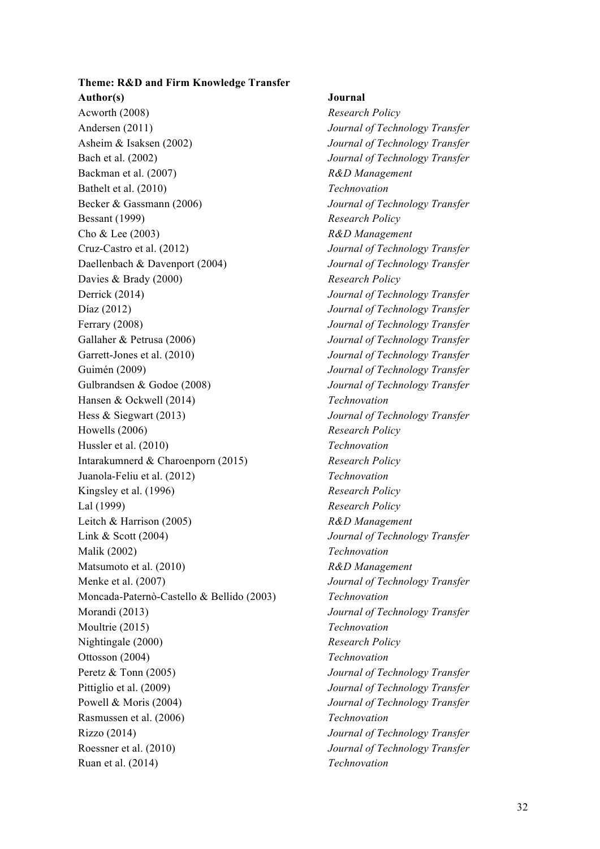# **Theme: R&D and Firm Knowledge Transfer**

**Author(s) Journal** Acworth (2008) *Research Policy* Andersen (2011) *Journal of Technology Transfer* Asheim & Isaksen (2002) *Journal of Technology Transfer* Bach et al. (2002) *Journal of Technology Transfer* Backman et al. (2007) *R&D Management* Bathelt et al. (2010) *Technovation* Becker & Gassmann (2006) *Journal of Technology Transfer* Bessant (1999) *Research Policy* Cho & Lee (2003) *R&D Management* Cruz-Castro et al. (2012) *Journal of Technology Transfer* Daellenbach & Davenport (2004) *Journal of Technology Transfer* Davies & Brady (2000) *Research Policy* Derrick (2014) *Journal of Technology Transfer* Díaz (2012) *Journal of Technology Transfer* Ferrary (2008) *Journal of Technology Transfer* Gallaher & Petrusa (2006) *Journal of Technology Transfer* Garrett-Jones et al. (2010) *Journal of Technology Transfer* Guimén (2009) *Journal of Technology Transfer* Gulbrandsen & Godoe (2008) *Journal of Technology Transfer* Hansen & Ockwell (2014) *Technovation* Hess & Siegwart (2013) *Journal of Technology Transfer* Howells (2006) *Research Policy* Hussler et al. (2010) *Technovation* Intarakumnerd & Charoenporn (2015) *Research Policy* Juanola-Feliu et al. (2012) *Technovation* Kingsley et al. (1996) *Research Policy* Lal (1999) *Research Policy* Leitch & Harrison (2005) *R&D Management* Link & Scott (2004) *Journal of Technology Transfer* Malik (2002) *Technovation* Matsumoto et al. (2010) *R&D Management* Menke et al. (2007) *Journal of Technology Transfer* Moncada-Paternò-Castello & Bellido (2003) *Technovation* Morandi (2013) *Journal of Technology Transfer* Moultrie (2015) *Technovation* Nightingale (2000) *Research Policy* Ottosson (2004) *Technovation* Peretz & Tonn (2005) *Journal of Technology Transfer* Pittiglio et al. (2009) *Journal of Technology Transfer* Powell & Moris (2004) *Journal of Technology Transfer* Rasmussen et al. (2006) *Technovation* Rizzo (2014) *Journal of Technology Transfer* Roessner et al. (2010) *Journal of Technology Transfer* Ruan et al. (2014) *Technovation*